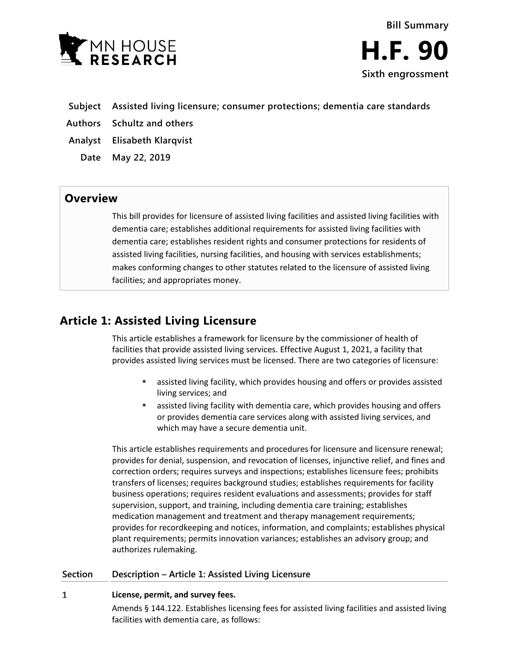

- **Subject Assisted living licensure; consumer protections; dementia care standards**
- **Authors Schultz and others**
- **Analyst Elisabeth Klarqvist**
	- **Date May 22, 2019**

# **Overview**

This bill provides for licensure of assisted living facilities and assisted living facilities with dementia care; establishes additional requirements for assisted living facilities with dementia care; establishes resident rights and consumer protections for residents of assisted living facilities, nursing facilities, and housing with services establishments; makes conforming changes to other statutes related to the licensure of assisted living facilities; and appropriates money.

# **Article 1: Assisted Living Licensure**

This article establishes a framework for licensure by the commissioner of health of facilities that provide assisted living services. Effective August 1, 2021, a facility that provides assisted living services must be licensed. There are two categories of licensure:

- assisted living facility, which provides housing and offers or provides assisted living services; and
- assisted living facility with dementia care, which provides housing and offers or provides dementia care services along with assisted living services, and which may have a secure dementia unit.

This article establishes requirements and procedures for licensure and licensure renewal; provides for denial, suspension, and revocation of licenses, injunctive relief, and fines and correction orders; requires surveys and inspections; establishes licensure fees; prohibits transfers of licenses; requires background studies; establishes requirements for facility business operations; requires resident evaluations and assessments; provides for staff supervision, support, and training, including dementia care training; establishes medication management and treatment and therapy management requirements; provides for recordkeeping and notices, information, and complaints; establishes physical plant requirements; permits innovation variances; establishes an advisory group; and authorizes rulemaking.

# **Section Description – Article 1: Assisted Living Licensure**

### $\mathbf{1}$ **License, permit, and survey fees.**

Amends § 144.122. Establishes licensing fees for assisted living facilities and assisted living facilities with dementia care, as follows: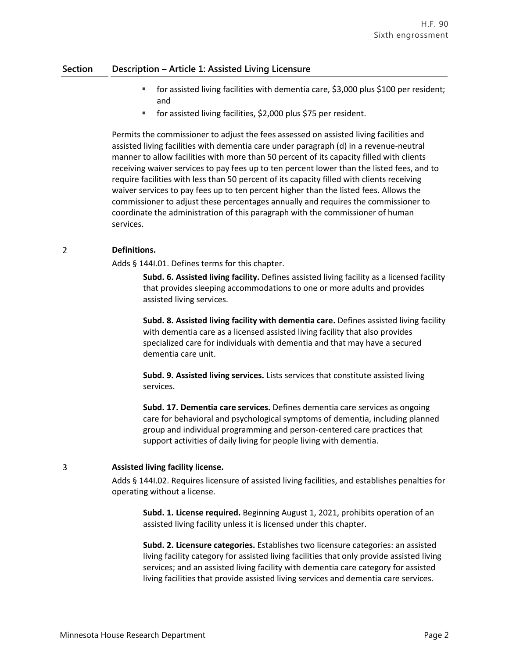- for assisted living facilities with dementia care, \$3,000 plus \$100 per resident; and
- for assisted living facilities, \$2,000 plus \$75 per resident.

Permits the commissioner to adjust the fees assessed on assisted living facilities and assisted living facilities with dementia care under paragraph (d) in a revenue-neutral manner to allow facilities with more than 50 percent of its capacity filled with clients receiving waiver services to pay fees up to ten percent lower than the listed fees, and to require facilities with less than 50 percent of its capacity filled with clients receiving waiver services to pay fees up to ten percent higher than the listed fees. Allows the commissioner to adjust these percentages annually and requires the commissioner to coordinate the administration of this paragraph with the commissioner of human services.

### $\overline{2}$ **Definitions.**

Adds § 144I.01. Defines terms for this chapter.

**Subd. 6. Assisted living facility.** Defines assisted living facility as a licensed facility that provides sleeping accommodations to one or more adults and provides assisted living services.

**Subd. 8. Assisted living facility with dementia care.** Defines assisted living facility with dementia care as a licensed assisted living facility that also provides specialized care for individuals with dementia and that may have a secured dementia care unit.

**Subd. 9. Assisted living services.** Lists services that constitute assisted living services.

**Subd. 17. Dementia care services.** Defines dementia care services as ongoing care for behavioral and psychological symptoms of dementia, including planned group and individual programming and person-centered care practices that support activities of daily living for people living with dementia.

### 3 **Assisted living facility license.**

Adds § 144I.02. Requires licensure of assisted living facilities, and establishes penalties for operating without a license.

**Subd. 1. License required.** Beginning August 1, 2021, prohibits operation of an assisted living facility unless it is licensed under this chapter.

**Subd. 2. Licensure categories.** Establishes two licensure categories: an assisted living facility category for assisted living facilities that only provide assisted living services; and an assisted living facility with dementia care category for assisted living facilities that provide assisted living services and dementia care services.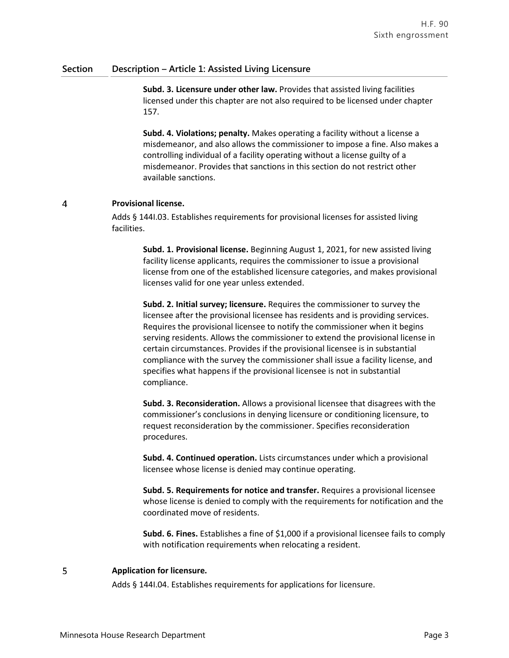**Subd. 3. Licensure under other law.** Provides that assisted living facilities licensed under this chapter are not also required to be licensed under chapter 157.

**Subd. 4. Violations; penalty.** Makes operating a facility without a license a misdemeanor, and also allows the commissioner to impose a fine. Also makes a controlling individual of a facility operating without a license guilty of a misdemeanor. Provides that sanctions in this section do not restrict other available sanctions.

### $\overline{4}$ **Provisional license.**

Adds § 144I.03. Establishes requirements for provisional licenses for assisted living facilities.

**Subd. 1. Provisional license.** Beginning August 1, 2021, for new assisted living facility license applicants, requires the commissioner to issue a provisional license from one of the established licensure categories, and makes provisional licenses valid for one year unless extended.

**Subd. 2. Initial survey; licensure.** Requires the commissioner to survey the licensee after the provisional licensee has residents and is providing services. Requires the provisional licensee to notify the commissioner when it begins serving residents. Allows the commissioner to extend the provisional license in certain circumstances. Provides if the provisional licensee is in substantial compliance with the survey the commissioner shall issue a facility license, and specifies what happens if the provisional licensee is not in substantial compliance.

**Subd. 3. Reconsideration.** Allows a provisional licensee that disagrees with the commissioner's conclusions in denying licensure or conditioning licensure, to request reconsideration by the commissioner. Specifies reconsideration procedures.

**Subd. 4. Continued operation.** Lists circumstances under which a provisional licensee whose license is denied may continue operating.

**Subd. 5. Requirements for notice and transfer.** Requires a provisional licensee whose license is denied to comply with the requirements for notification and the coordinated move of residents.

**Subd. 6. Fines.** Establishes a fine of \$1,000 if a provisional licensee fails to comply with notification requirements when relocating a resident.

### 5 **Application for licensure.**

Adds § 144I.04. Establishes requirements for applications for licensure.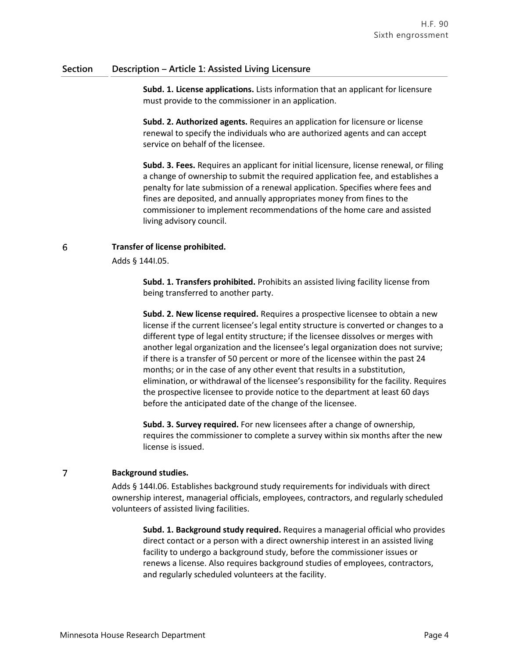**Subd. 1. License applications.** Lists information that an applicant for licensure must provide to the commissioner in an application.

**Subd. 2. Authorized agents.** Requires an application for licensure or license renewal to specify the individuals who are authorized agents and can accept service on behalf of the licensee.

**Subd. 3. Fees.** Requires an applicant for initial licensure, license renewal, or filing a change of ownership to submit the required application fee, and establishes a penalty for late submission of a renewal application. Specifies where fees and fines are deposited, and annually appropriates money from fines to the commissioner to implement recommendations of the home care and assisted living advisory council.

### 6 **Transfer of license prohibited.**

Adds § 144I.05.

**Subd. 1. Transfers prohibited.** Prohibits an assisted living facility license from being transferred to another party.

**Subd. 2. New license required.** Requires a prospective licensee to obtain a new license if the current licensee's legal entity structure is converted or changes to a different type of legal entity structure; if the licensee dissolves or merges with another legal organization and the licensee's legal organization does not survive; if there is a transfer of 50 percent or more of the licensee within the past 24 months; or in the case of any other event that results in a substitution, elimination, or withdrawal of the licensee's responsibility for the facility. Requires the prospective licensee to provide notice to the department at least 60 days before the anticipated date of the change of the licensee.

**Subd. 3. Survey required.** For new licensees after a change of ownership, requires the commissioner to complete a survey within six months after the new license is issued.

### $\overline{7}$ **Background studies.**

Adds § 144I.06. Establishes background study requirements for individuals with direct ownership interest, managerial officials, employees, contractors, and regularly scheduled volunteers of assisted living facilities.

**Subd. 1. Background study required.** Requires a managerial official who provides direct contact or a person with a direct ownership interest in an assisted living facility to undergo a background study, before the commissioner issues or renews a license. Also requires background studies of employees, contractors, and regularly scheduled volunteers at the facility.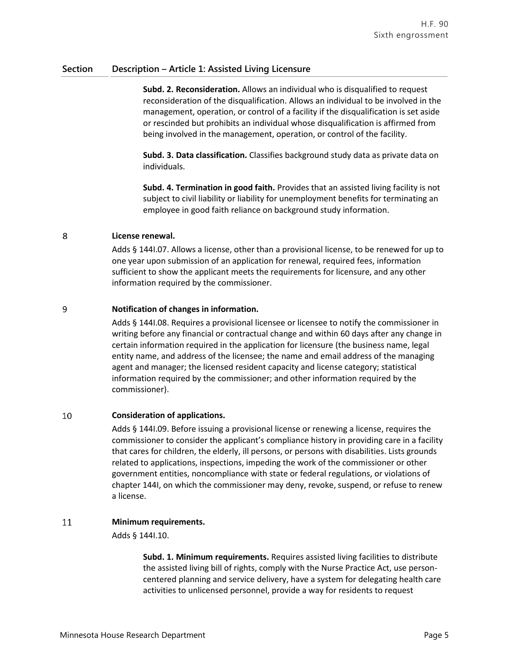**Subd. 2. Reconsideration.** Allows an individual who is disqualified to request reconsideration of the disqualification. Allows an individual to be involved in the management, operation, or control of a facility if the disqualification is set aside or rescinded but prohibits an individual whose disqualification is affirmed from being involved in the management, operation, or control of the facility.

**Subd. 3. Data classification.** Classifies background study data as private data on individuals.

**Subd. 4. Termination in good faith.** Provides that an assisted living facility is not subject to civil liability or liability for unemployment benefits for terminating an employee in good faith reliance on background study information.

### 8 **License renewal.**

Adds § 144I.07. Allows a license, other than a provisional license, to be renewed for up to one year upon submission of an application for renewal, required fees, information sufficient to show the applicant meets the requirements for licensure, and any other information required by the commissioner.

### 9 **Notification of changes in information.**

Adds § 144I.08. Requires a provisional licensee or licensee to notify the commissioner in writing before any financial or contractual change and within 60 days after any change in certain information required in the application for licensure (the business name, legal entity name, and address of the licensee; the name and email address of the managing agent and manager; the licensed resident capacity and license category; statistical information required by the commissioner; and other information required by the commissioner).

### 10 **Consideration of applications.**

Adds § 144I.09. Before issuing a provisional license or renewing a license, requires the commissioner to consider the applicant's compliance history in providing care in a facility that cares for children, the elderly, ill persons, or persons with disabilities. Lists grounds related to applications, inspections, impeding the work of the commissioner or other government entities, noncompliance with state or federal regulations, or violations of chapter 144I, on which the commissioner may deny, revoke, suspend, or refuse to renew a license.

### 11 **Minimum requirements.**

Adds § 144I.10.

**Subd. 1. Minimum requirements.** Requires assisted living facilities to distribute the assisted living bill of rights, comply with the Nurse Practice Act, use personcentered planning and service delivery, have a system for delegating health care activities to unlicensed personnel, provide a way for residents to request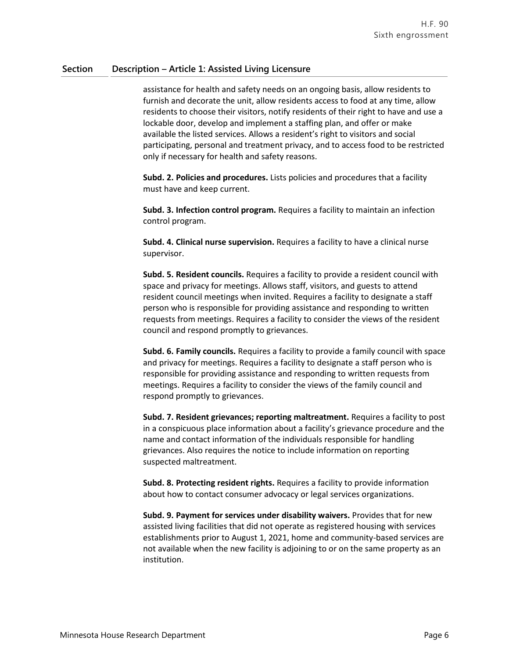assistance for health and safety needs on an ongoing basis, allow residents to furnish and decorate the unit, allow residents access to food at any time, allow residents to choose their visitors, notify residents of their right to have and use a lockable door, develop and implement a staffing plan, and offer or make available the listed services. Allows a resident's right to visitors and social participating, personal and treatment privacy, and to access food to be restricted only if necessary for health and safety reasons.

**Subd. 2. Policies and procedures.** Lists policies and procedures that a facility must have and keep current.

**Subd. 3. Infection control program.** Requires a facility to maintain an infection control program.

**Subd. 4. Clinical nurse supervision.** Requires a facility to have a clinical nurse supervisor.

**Subd. 5. Resident councils.** Requires a facility to provide a resident council with space and privacy for meetings. Allows staff, visitors, and guests to attend resident council meetings when invited. Requires a facility to designate a staff person who is responsible for providing assistance and responding to written requests from meetings. Requires a facility to consider the views of the resident council and respond promptly to grievances.

**Subd. 6. Family councils.** Requires a facility to provide a family council with space and privacy for meetings. Requires a facility to designate a staff person who is responsible for providing assistance and responding to written requests from meetings. Requires a facility to consider the views of the family council and respond promptly to grievances.

**Subd. 7. Resident grievances; reporting maltreatment.** Requires a facility to post in a conspicuous place information about a facility's grievance procedure and the name and contact information of the individuals responsible for handling grievances. Also requires the notice to include information on reporting suspected maltreatment.

**Subd. 8. Protecting resident rights.** Requires a facility to provide information about how to contact consumer advocacy or legal services organizations.

**Subd. 9. Payment for services under disability waivers.** Provides that for new assisted living facilities that did not operate as registered housing with services establishments prior to August 1, 2021, home and community-based services are not available when the new facility is adjoining to or on the same property as an institution.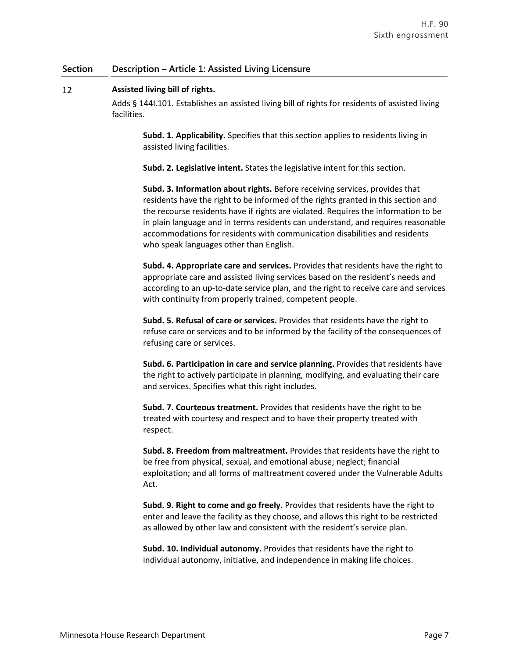### 12 **Assisted living bill of rights.**

Adds § 144I.101. Establishes an assisted living bill of rights for residents of assisted living facilities.

**Subd. 1. Applicability.** Specifies that this section applies to residents living in assisted living facilities.

**Subd. 2. Legislative intent.** States the legislative intent for this section.

**Subd. 3. Information about rights.** Before receiving services, provides that residents have the right to be informed of the rights granted in this section and the recourse residents have if rights are violated. Requires the information to be in plain language and in terms residents can understand, and requires reasonable accommodations for residents with communication disabilities and residents who speak languages other than English.

**Subd. 4. Appropriate care and services.** Provides that residents have the right to appropriate care and assisted living services based on the resident's needs and according to an up-to-date service plan, and the right to receive care and services with continuity from properly trained, competent people.

**Subd. 5. Refusal of care or services.** Provides that residents have the right to refuse care or services and to be informed by the facility of the consequences of refusing care or services.

**Subd. 6. Participation in care and service planning.** Provides that residents have the right to actively participate in planning, modifying, and evaluating their care and services. Specifies what this right includes.

**Subd. 7. Courteous treatment.** Provides that residents have the right to be treated with courtesy and respect and to have their property treated with respect.

**Subd. 8. Freedom from maltreatment.** Provides that residents have the right to be free from physical, sexual, and emotional abuse; neglect; financial exploitation; and all forms of maltreatment covered under the Vulnerable Adults Act.

**Subd. 9. Right to come and go freely.** Provides that residents have the right to enter and leave the facility as they choose, and allows this right to be restricted as allowed by other law and consistent with the resident's service plan.

**Subd. 10. Individual autonomy.** Provides that residents have the right to individual autonomy, initiative, and independence in making life choices.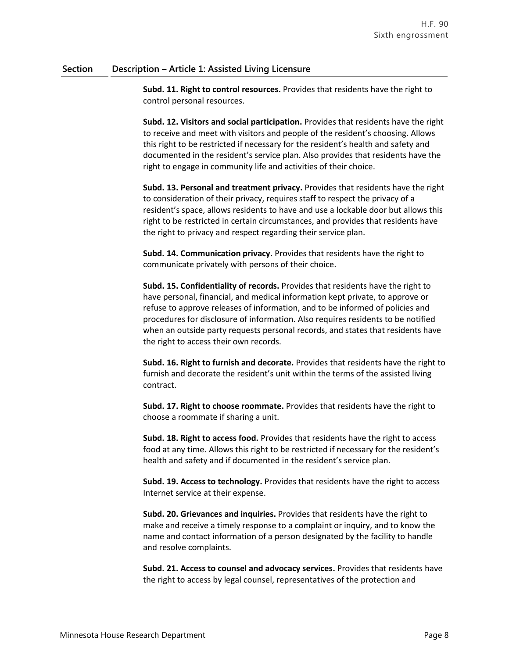**Subd. 11. Right to control resources.** Provides that residents have the right to control personal resources.

**Subd. 12. Visitors and social participation.** Provides that residents have the right to receive and meet with visitors and people of the resident's choosing. Allows this right to be restricted if necessary for the resident's health and safety and documented in the resident's service plan. Also provides that residents have the right to engage in community life and activities of their choice.

**Subd. 13. Personal and treatment privacy.** Provides that residents have the right to consideration of their privacy, requires staff to respect the privacy of a resident's space, allows residents to have and use a lockable door but allows this right to be restricted in certain circumstances, and provides that residents have the right to privacy and respect regarding their service plan.

**Subd. 14. Communication privacy.** Provides that residents have the right to communicate privately with persons of their choice.

**Subd. 15. Confidentiality of records.** Provides that residents have the right to have personal, financial, and medical information kept private, to approve or refuse to approve releases of information, and to be informed of policies and procedures for disclosure of information. Also requires residents to be notified when an outside party requests personal records, and states that residents have the right to access their own records.

**Subd. 16. Right to furnish and decorate.** Provides that residents have the right to furnish and decorate the resident's unit within the terms of the assisted living contract.

**Subd. 17. Right to choose roommate.** Provides that residents have the right to choose a roommate if sharing a unit.

**Subd. 18. Right to access food.** Provides that residents have the right to access food at any time. Allows this right to be restricted if necessary for the resident's health and safety and if documented in the resident's service plan.

**Subd. 19. Access to technology.** Provides that residents have the right to access Internet service at their expense.

**Subd. 20. Grievances and inquiries.** Provides that residents have the right to make and receive a timely response to a complaint or inquiry, and to know the name and contact information of a person designated by the facility to handle and resolve complaints.

**Subd. 21. Access to counsel and advocacy services.** Provides that residents have the right to access by legal counsel, representatives of the protection and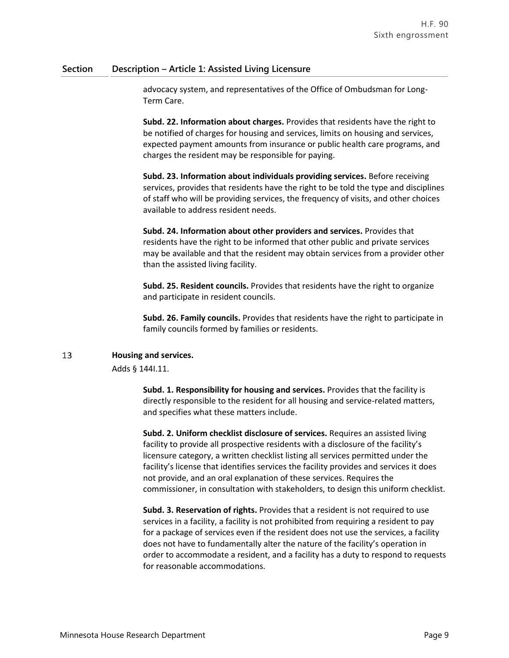advocacy system, and representatives of the Office of Ombudsman for Long-Term Care.

**Subd. 22. Information about charges.** Provides that residents have the right to be notified of charges for housing and services, limits on housing and services, expected payment amounts from insurance or public health care programs, and charges the resident may be responsible for paying.

**Subd. 23. Information about individuals providing services.** Before receiving services, provides that residents have the right to be told the type and disciplines of staff who will be providing services, the frequency of visits, and other choices available to address resident needs.

**Subd. 24. Information about other providers and services.** Provides that residents have the right to be informed that other public and private services may be available and that the resident may obtain services from a provider other than the assisted living facility.

**Subd. 25. Resident councils.** Provides that residents have the right to organize and participate in resident councils.

**Subd. 26. Family councils.** Provides that residents have the right to participate in family councils formed by families or residents.

### 13 **Housing and services.**

Adds § 144I.11.

**Subd. 1. Responsibility for housing and services.** Provides that the facility is directly responsible to the resident for all housing and service-related matters, and specifies what these matters include.

**Subd. 2. Uniform checklist disclosure of services.** Requires an assisted living facility to provide all prospective residents with a disclosure of the facility's licensure category, a written checklist listing all services permitted under the facility's license that identifies services the facility provides and services it does not provide, and an oral explanation of these services. Requires the commissioner, in consultation with stakeholders, to design this uniform checklist.

**Subd. 3. Reservation of rights.** Provides that a resident is not required to use services in a facility, a facility is not prohibited from requiring a resident to pay for a package of services even if the resident does not use the services, a facility does not have to fundamentally alter the nature of the facility's operation in order to accommodate a resident, and a facility has a duty to respond to requests for reasonable accommodations.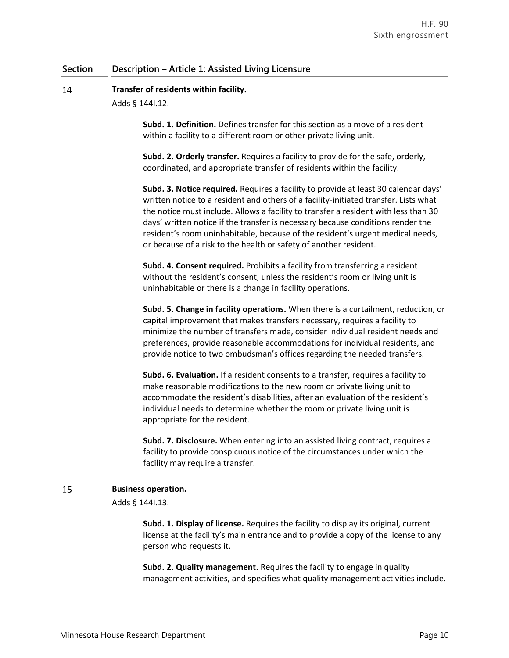#### 14 **Transfer of residents within facility.**

Adds § 144I.12.

**Subd. 1. Definition.** Defines transfer for this section as a move of a resident within a facility to a different room or other private living unit.

**Subd. 2. Orderly transfer.** Requires a facility to provide for the safe, orderly, coordinated, and appropriate transfer of residents within the facility.

**Subd. 3. Notice required.** Requires a facility to provide at least 30 calendar days' written notice to a resident and others of a facility-initiated transfer. Lists what the notice must include. Allows a facility to transfer a resident with less than 30 days' written notice if the transfer is necessary because conditions render the resident's room uninhabitable, because of the resident's urgent medical needs, or because of a risk to the health or safety of another resident.

**Subd. 4. Consent required.** Prohibits a facility from transferring a resident without the resident's consent, unless the resident's room or living unit is uninhabitable or there is a change in facility operations.

**Subd. 5. Change in facility operations.** When there is a curtailment, reduction, or capital improvement that makes transfers necessary, requires a facility to minimize the number of transfers made, consider individual resident needs and preferences, provide reasonable accommodations for individual residents, and provide notice to two ombudsman's offices regarding the needed transfers.

**Subd. 6. Evaluation.** If a resident consents to a transfer, requires a facility to make reasonable modifications to the new room or private living unit to accommodate the resident's disabilities, after an evaluation of the resident's individual needs to determine whether the room or private living unit is appropriate for the resident.

**Subd. 7. Disclosure.** When entering into an assisted living contract, requires a facility to provide conspicuous notice of the circumstances under which the facility may require a transfer.

### 15 **Business operation.**

Adds § 144I.13.

**Subd. 1. Display of license.** Requires the facility to display its original, current license at the facility's main entrance and to provide a copy of the license to any person who requests it.

**Subd. 2. Quality management.** Requires the facility to engage in quality management activities, and specifies what quality management activities include.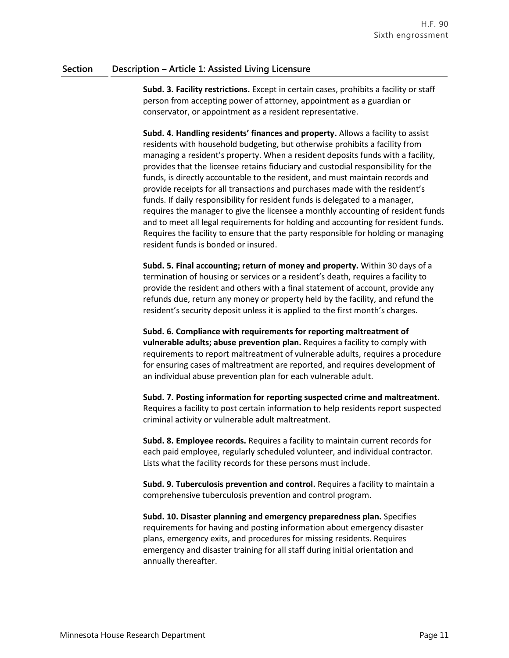**Subd. 3. Facility restrictions.** Except in certain cases, prohibits a facility or staff person from accepting power of attorney, appointment as a guardian or conservator, or appointment as a resident representative.

**Subd. 4. Handling residents' finances and property.** Allows a facility to assist residents with household budgeting, but otherwise prohibits a facility from managing a resident's property. When a resident deposits funds with a facility, provides that the licensee retains fiduciary and custodial responsibility for the funds, is directly accountable to the resident, and must maintain records and provide receipts for all transactions and purchases made with the resident's funds. If daily responsibility for resident funds is delegated to a manager, requires the manager to give the licensee a monthly accounting of resident funds and to meet all legal requirements for holding and accounting for resident funds. Requires the facility to ensure that the party responsible for holding or managing resident funds is bonded or insured.

**Subd. 5. Final accounting; return of money and property.** Within 30 days of a termination of housing or services or a resident's death, requires a facility to provide the resident and others with a final statement of account, provide any refunds due, return any money or property held by the facility, and refund the resident's security deposit unless it is applied to the first month's charges.

**Subd. 6. Compliance with requirements for reporting maltreatment of vulnerable adults; abuse prevention plan.** Requires a facility to comply with requirements to report maltreatment of vulnerable adults, requires a procedure for ensuring cases of maltreatment are reported, and requires development of an individual abuse prevention plan for each vulnerable adult.

**Subd. 7. Posting information for reporting suspected crime and maltreatment.** Requires a facility to post certain information to help residents report suspected criminal activity or vulnerable adult maltreatment.

**Subd. 8. Employee records.** Requires a facility to maintain current records for each paid employee, regularly scheduled volunteer, and individual contractor. Lists what the facility records for these persons must include.

**Subd. 9. Tuberculosis prevention and control.** Requires a facility to maintain a comprehensive tuberculosis prevention and control program.

**Subd. 10. Disaster planning and emergency preparedness plan.** Specifies requirements for having and posting information about emergency disaster plans, emergency exits, and procedures for missing residents. Requires emergency and disaster training for all staff during initial orientation and annually thereafter.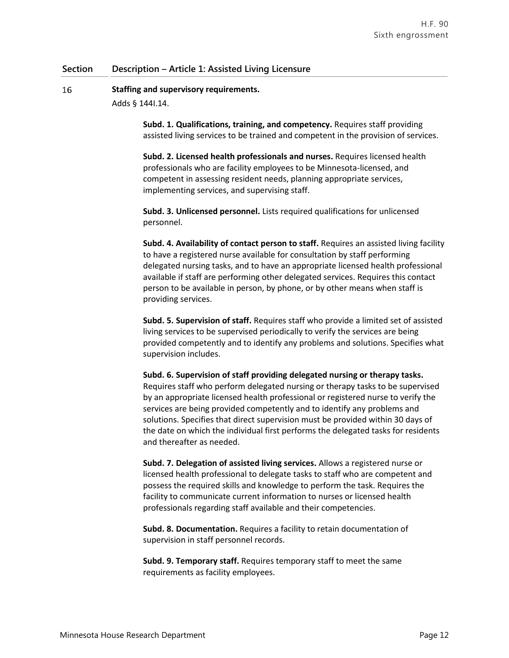and thereafter as needed.

### 16 **Staffing and supervisory requirements.**

Adds § 144I.14.

**Subd. 1. Qualifications, training, and competency.** Requires staff providing assisted living services to be trained and competent in the provision of services.

**Subd. 2. Licensed health professionals and nurses.** Requires licensed health professionals who are facility employees to be Minnesota-licensed, and competent in assessing resident needs, planning appropriate services, implementing services, and supervising staff.

**Subd. 3. Unlicensed personnel.** Lists required qualifications for unlicensed personnel.

**Subd. 4. Availability of contact person to staff.** Requires an assisted living facility to have a registered nurse available for consultation by staff performing delegated nursing tasks, and to have an appropriate licensed health professional available if staff are performing other delegated services. Requires this contact person to be available in person, by phone, or by other means when staff is providing services.

**Subd. 5. Supervision of staff.** Requires staff who provide a limited set of assisted living services to be supervised periodically to verify the services are being provided competently and to identify any problems and solutions. Specifies what supervision includes.

**Subd. 6. Supervision of staff providing delegated nursing or therapy tasks.** Requires staff who perform delegated nursing or therapy tasks to be supervised by an appropriate licensed health professional or registered nurse to verify the services are being provided competently and to identify any problems and solutions. Specifies that direct supervision must be provided within 30 days of the date on which the individual first performs the delegated tasks for residents

**Subd. 7. Delegation of assisted living services.** Allows a registered nurse or licensed health professional to delegate tasks to staff who are competent and possess the required skills and knowledge to perform the task. Requires the facility to communicate current information to nurses or licensed health professionals regarding staff available and their competencies.

**Subd. 8. Documentation.** Requires a facility to retain documentation of supervision in staff personnel records.

**Subd. 9. Temporary staff.** Requires temporary staff to meet the same requirements as facility employees.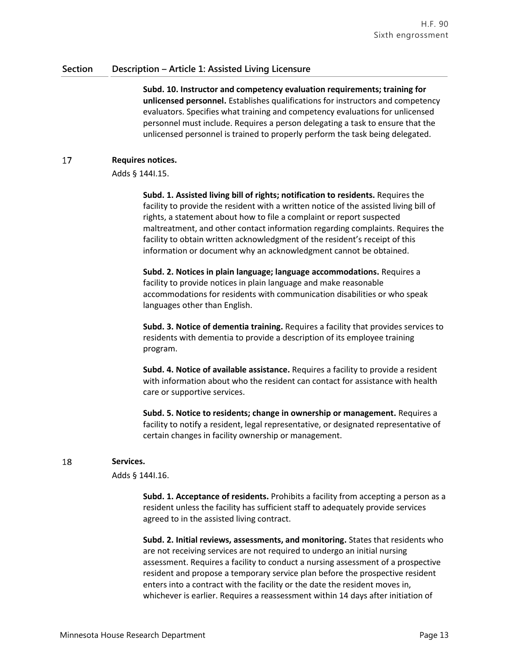**Subd. 10. Instructor and competency evaluation requirements; training for unlicensed personnel.** Establishes qualifications for instructors and competency evaluators. Specifies what training and competency evaluations for unlicensed personnel must include. Requires a person delegating a task to ensure that the unlicensed personnel is trained to properly perform the task being delegated.

### 17 **Requires notices.**

Adds § 144I.15.

**Subd. 1. Assisted living bill of rights; notification to residents.** Requires the facility to provide the resident with a written notice of the assisted living bill of rights, a statement about how to file a complaint or report suspected maltreatment, and other contact information regarding complaints. Requires the facility to obtain written acknowledgment of the resident's receipt of this information or document why an acknowledgment cannot be obtained.

**Subd. 2. Notices in plain language; language accommodations.** Requires a facility to provide notices in plain language and make reasonable accommodations for residents with communication disabilities or who speak languages other than English.

**Subd. 3. Notice of dementia training.** Requires a facility that provides services to residents with dementia to provide a description of its employee training program.

**Subd. 4. Notice of available assistance.** Requires a facility to provide a resident with information about who the resident can contact for assistance with health care or supportive services.

**Subd. 5. Notice to residents; change in ownership or management.** Requires a facility to notify a resident, legal representative, or designated representative of certain changes in facility ownership or management.

### 18 **Services.**

Adds § 144I.16.

**Subd. 1. Acceptance of residents.** Prohibits a facility from accepting a person as a resident unless the facility has sufficient staff to adequately provide services agreed to in the assisted living contract.

**Subd. 2. Initial reviews, assessments, and monitoring.** States that residents who are not receiving services are not required to undergo an initial nursing assessment. Requires a facility to conduct a nursing assessment of a prospective resident and propose a temporary service plan before the prospective resident enters into a contract with the facility or the date the resident moves in, whichever is earlier. Requires a reassessment within 14 days after initiation of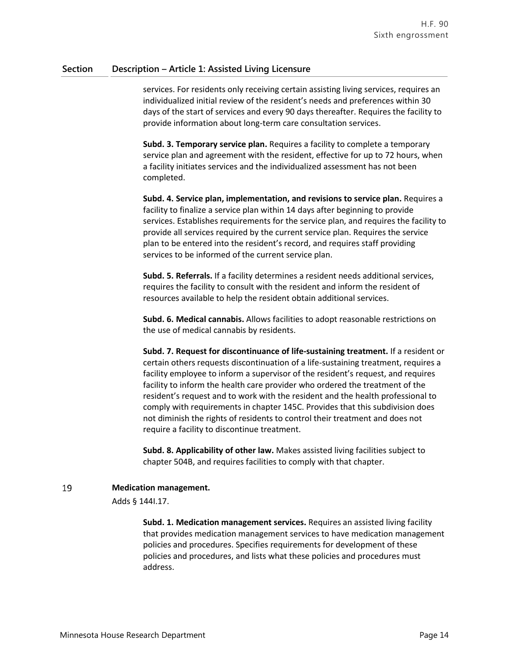services. For residents only receiving certain assisting living services, requires an individualized initial review of the resident's needs and preferences within 30 days of the start of services and every 90 days thereafter. Requires the facility to provide information about long-term care consultation services.

**Subd. 3. Temporary service plan.** Requires a facility to complete a temporary service plan and agreement with the resident, effective for up to 72 hours, when a facility initiates services and the individualized assessment has not been completed.

**Subd. 4. Service plan, implementation, and revisions to service plan.** Requires a facility to finalize a service plan within 14 days after beginning to provide services. Establishes requirements for the service plan, and requires the facility to provide all services required by the current service plan. Requires the service plan to be entered into the resident's record, and requires staff providing services to be informed of the current service plan.

**Subd. 5. Referrals.** If a facility determines a resident needs additional services, requires the facility to consult with the resident and inform the resident of resources available to help the resident obtain additional services.

**Subd. 6. Medical cannabis.** Allows facilities to adopt reasonable restrictions on the use of medical cannabis by residents.

**Subd. 7. Request for discontinuance of life-sustaining treatment.** If a resident or certain others requests discontinuation of a life-sustaining treatment, requires a facility employee to inform a supervisor of the resident's request, and requires facility to inform the health care provider who ordered the treatment of the resident's request and to work with the resident and the health professional to comply with requirements in chapter 145C. Provides that this subdivision does not diminish the rights of residents to control their treatment and does not require a facility to discontinue treatment.

**Subd. 8. Applicability of other law.** Makes assisted living facilities subject to chapter 504B, and requires facilities to comply with that chapter.

### 19 **Medication management.**

Adds § 144I.17.

**Subd. 1. Medication management services.** Requires an assisted living facility that provides medication management services to have medication management policies and procedures. Specifies requirements for development of these policies and procedures, and lists what these policies and procedures must address.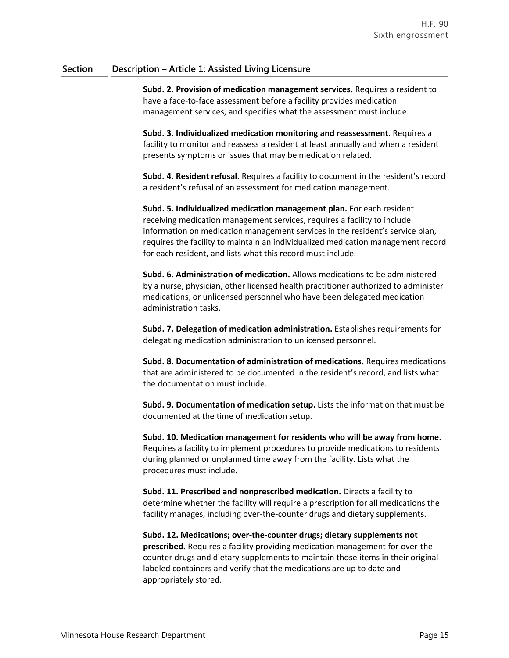**Subd. 2. Provision of medication management services.** Requires a resident to have a face-to-face assessment before a facility provides medication management services, and specifies what the assessment must include.

**Subd. 3. Individualized medication monitoring and reassessment.** Requires a facility to monitor and reassess a resident at least annually and when a resident presents symptoms or issues that may be medication related.

**Subd. 4. Resident refusal.** Requires a facility to document in the resident's record a resident's refusal of an assessment for medication management.

**Subd. 5. Individualized medication management plan.** For each resident receiving medication management services, requires a facility to include information on medication management services in the resident's service plan, requires the facility to maintain an individualized medication management record for each resident, and lists what this record must include.

**Subd. 6. Administration of medication.** Allows medications to be administered by a nurse, physician, other licensed health practitioner authorized to administer medications, or unlicensed personnel who have been delegated medication administration tasks.

**Subd. 7. Delegation of medication administration.** Establishes requirements for delegating medication administration to unlicensed personnel.

**Subd. 8. Documentation of administration of medications.** Requires medications that are administered to be documented in the resident's record, and lists what the documentation must include.

**Subd. 9. Documentation of medication setup.** Lists the information that must be documented at the time of medication setup.

**Subd. 10. Medication management for residents who will be away from home.** Requires a facility to implement procedures to provide medications to residents during planned or unplanned time away from the facility. Lists what the procedures must include.

**Subd. 11. Prescribed and nonprescribed medication.** Directs a facility to determine whether the facility will require a prescription for all medications the facility manages, including over-the-counter drugs and dietary supplements.

**Subd. 12. Medications; over-the-counter drugs; dietary supplements not prescribed.** Requires a facility providing medication management for over-thecounter drugs and dietary supplements to maintain those items in their original labeled containers and verify that the medications are up to date and appropriately stored.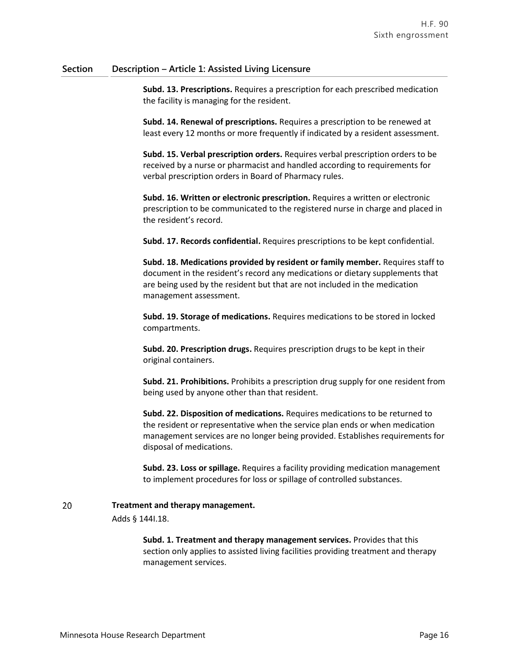**Subd. 13. Prescriptions.** Requires a prescription for each prescribed medication the facility is managing for the resident.

**Subd. 14. Renewal of prescriptions.** Requires a prescription to be renewed at least every 12 months or more frequently if indicated by a resident assessment.

**Subd. 15. Verbal prescription orders.** Requires verbal prescription orders to be received by a nurse or pharmacist and handled according to requirements for verbal prescription orders in Board of Pharmacy rules.

**Subd. 16. Written or electronic prescription.** Requires a written or electronic prescription to be communicated to the registered nurse in charge and placed in the resident's record.

**Subd. 17. Records confidential.** Requires prescriptions to be kept confidential.

**Subd. 18. Medications provided by resident or family member.** Requires staff to document in the resident's record any medications or dietary supplements that are being used by the resident but that are not included in the medication management assessment.

**Subd. 19. Storage of medications.** Requires medications to be stored in locked compartments.

**Subd. 20. Prescription drugs.** Requires prescription drugs to be kept in their original containers.

**Subd. 21. Prohibitions.** Prohibits a prescription drug supply for one resident from being used by anyone other than that resident.

**Subd. 22. Disposition of medications.** Requires medications to be returned to the resident or representative when the service plan ends or when medication management services are no longer being provided. Establishes requirements for disposal of medications.

**Subd. 23. Loss or spillage.** Requires a facility providing medication management to implement procedures for loss or spillage of controlled substances.

### 20 **Treatment and therapy management.**

Adds § 144I.18.

**Subd. 1. Treatment and therapy management services.** Provides that this section only applies to assisted living facilities providing treatment and therapy management services.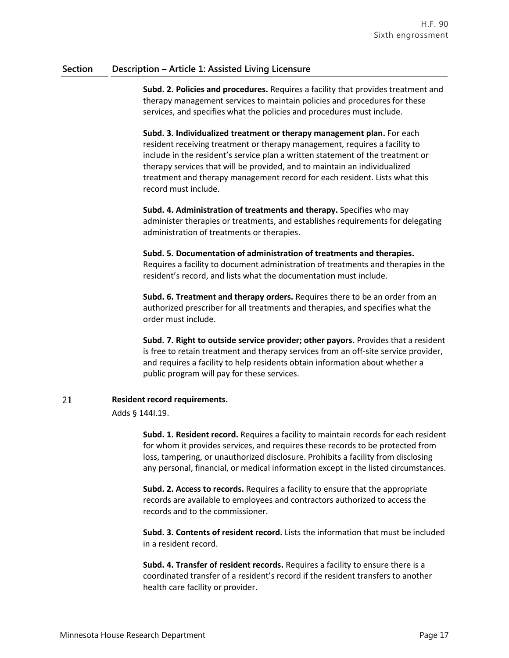**Subd. 2. Policies and procedures.** Requires a facility that provides treatment and therapy management services to maintain policies and procedures for these services, and specifies what the policies and procedures must include.

**Subd. 3. Individualized treatment or therapy management plan.** For each resident receiving treatment or therapy management, requires a facility to include in the resident's service plan a written statement of the treatment or therapy services that will be provided, and to maintain an individualized treatment and therapy management record for each resident. Lists what this record must include.

**Subd. 4. Administration of treatments and therapy.** Specifies who may administer therapies or treatments, and establishes requirements for delegating administration of treatments or therapies.

# **Subd. 5. Documentation of administration of treatments and therapies.**

Requires a facility to document administration of treatments and therapies in the resident's record, and lists what the documentation must include.

**Subd. 6. Treatment and therapy orders.** Requires there to be an order from an authorized prescriber for all treatments and therapies, and specifies what the order must include.

**Subd. 7. Right to outside service provider; other payors.** Provides that a resident is free to retain treatment and therapy services from an off-site service provider, and requires a facility to help residents obtain information about whether a public program will pay for these services.

### 21 **Resident record requirements.**

Adds § 144I.19.

**Subd. 1. Resident record.** Requires a facility to maintain records for each resident for whom it provides services, and requires these records to be protected from loss, tampering, or unauthorized disclosure. Prohibits a facility from disclosing any personal, financial, or medical information except in the listed circumstances.

**Subd. 2. Access to records.** Requires a facility to ensure that the appropriate records are available to employees and contractors authorized to access the records and to the commissioner.

**Subd. 3. Contents of resident record.** Lists the information that must be included in a resident record.

**Subd. 4. Transfer of resident records.** Requires a facility to ensure there is a coordinated transfer of a resident's record if the resident transfers to another health care facility or provider.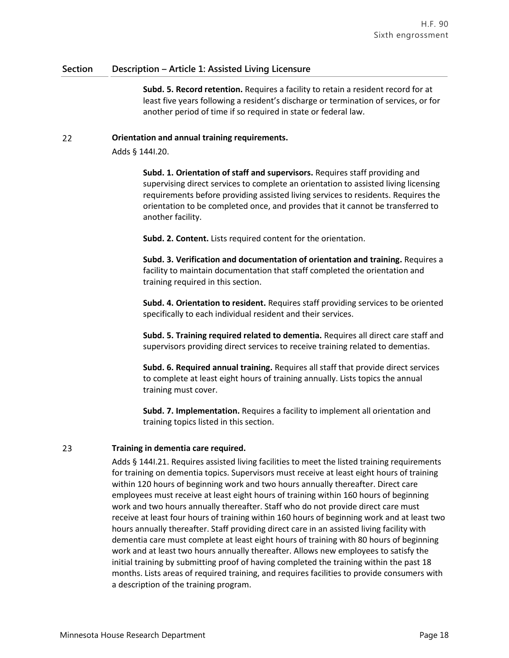**Subd. 5. Record retention.** Requires a facility to retain a resident record for at least five years following a resident's discharge or termination of services, or for another period of time if so required in state or federal law.

#### 22 **Orientation and annual training requirements.**

Adds § 144I.20.

**Subd. 1. Orientation of staff and supervisors.** Requires staff providing and supervising direct services to complete an orientation to assisted living licensing requirements before providing assisted living services to residents. Requires the orientation to be completed once, and provides that it cannot be transferred to another facility.

**Subd. 2. Content.** Lists required content for the orientation.

**Subd. 3. Verification and documentation of orientation and training.** Requires a facility to maintain documentation that staff completed the orientation and training required in this section.

**Subd. 4. Orientation to resident.** Requires staff providing services to be oriented specifically to each individual resident and their services.

**Subd. 5. Training required related to dementia.** Requires all direct care staff and supervisors providing direct services to receive training related to dementias.

**Subd. 6. Required annual training.** Requires all staff that provide direct services to complete at least eight hours of training annually. Lists topics the annual training must cover.

**Subd. 7. Implementation.** Requires a facility to implement all orientation and training topics listed in this section.

### 23 **Training in dementia care required.**

Adds § 144I.21. Requires assisted living facilities to meet the listed training requirements for training on dementia topics. Supervisors must receive at least eight hours of training within 120 hours of beginning work and two hours annually thereafter. Direct care employees must receive at least eight hours of training within 160 hours of beginning work and two hours annually thereafter. Staff who do not provide direct care must receive at least four hours of training within 160 hours of beginning work and at least two hours annually thereafter. Staff providing direct care in an assisted living facility with dementia care must complete at least eight hours of training with 80 hours of beginning work and at least two hours annually thereafter. Allows new employees to satisfy the initial training by submitting proof of having completed the training within the past 18 months. Lists areas of required training, and requires facilities to provide consumers with a description of the training program.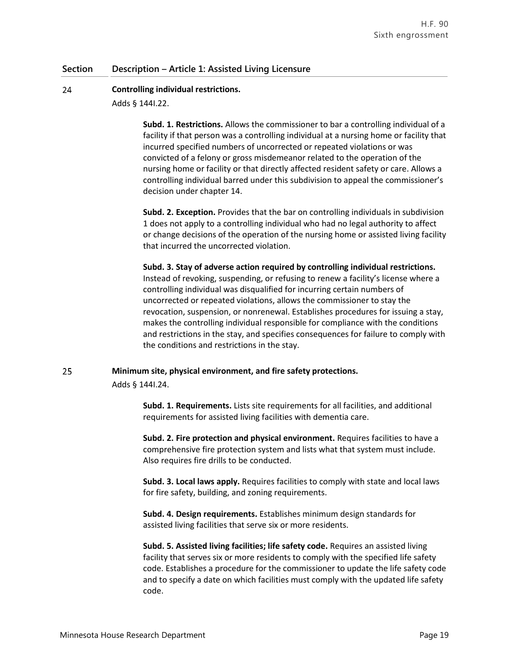#### 24 **Controlling individual restrictions.**

Adds § 144I.22.

**Subd. 1. Restrictions.** Allows the commissioner to bar a controlling individual of a facility if that person was a controlling individual at a nursing home or facility that incurred specified numbers of uncorrected or repeated violations or was convicted of a felony or gross misdemeanor related to the operation of the nursing home or facility or that directly affected resident safety or care. Allows a controlling individual barred under this subdivision to appeal the commissioner's decision under chapter 14.

**Subd. 2. Exception.** Provides that the bar on controlling individuals in subdivision 1 does not apply to a controlling individual who had no legal authority to affect or change decisions of the operation of the nursing home or assisted living facility that incurred the uncorrected violation.

**Subd. 3. Stay of adverse action required by controlling individual restrictions.** Instead of revoking, suspending, or refusing to renew a facility's license where a controlling individual was disqualified for incurring certain numbers of uncorrected or repeated violations, allows the commissioner to stay the revocation, suspension, or nonrenewal. Establishes procedures for issuing a stay, makes the controlling individual responsible for compliance with the conditions and restrictions in the stay, and specifies consequences for failure to comply with the conditions and restrictions in the stay.

### 25 **Minimum site, physical environment, and fire safety protections.**

Adds § 144I.24.

**Subd. 1. Requirements.** Lists site requirements for all facilities, and additional requirements for assisted living facilities with dementia care.

**Subd. 2. Fire protection and physical environment.** Requires facilities to have a comprehensive fire protection system and lists what that system must include. Also requires fire drills to be conducted.

**Subd. 3. Local laws apply.** Requires facilities to comply with state and local laws for fire safety, building, and zoning requirements.

**Subd. 4. Design requirements.** Establishes minimum design standards for assisted living facilities that serve six or more residents.

**Subd. 5. Assisted living facilities; life safety code.** Requires an assisted living facility that serves six or more residents to comply with the specified life safety code. Establishes a procedure for the commissioner to update the life safety code and to specify a date on which facilities must comply with the updated life safety code.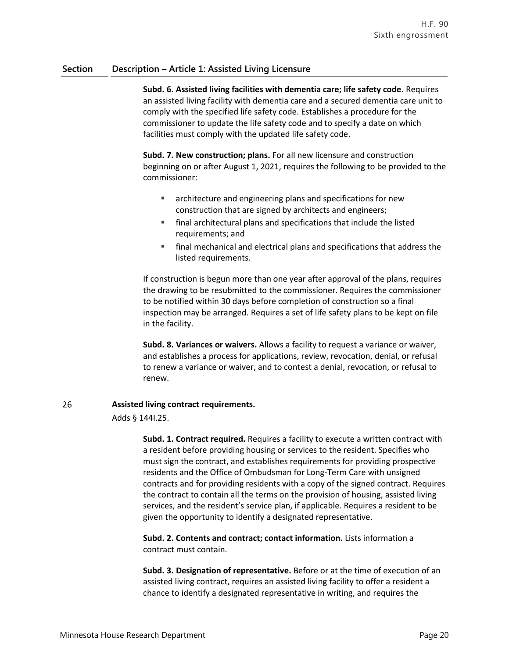**Subd. 6. Assisted living facilities with dementia care; life safety code.** Requires an assisted living facility with dementia care and a secured dementia care unit to comply with the specified life safety code. Establishes a procedure for the commissioner to update the life safety code and to specify a date on which facilities must comply with the updated life safety code.

**Subd. 7. New construction; plans.** For all new licensure and construction beginning on or after August 1, 2021, requires the following to be provided to the commissioner:

- **EXECUTER:** architecture and engineering plans and specifications for new construction that are signed by architects and engineers;
- final architectural plans and specifications that include the listed requirements; and
- final mechanical and electrical plans and specifications that address the listed requirements.

If construction is begun more than one year after approval of the plans, requires the drawing to be resubmitted to the commissioner. Requires the commissioner to be notified within 30 days before completion of construction so a final inspection may be arranged. Requires a set of life safety plans to be kept on file in the facility.

**Subd. 8. Variances or waivers.** Allows a facility to request a variance or waiver, and establishes a process for applications, review, revocation, denial, or refusal to renew a variance or waiver, and to contest a denial, revocation, or refusal to renew.

### 26 **Assisted living contract requirements.**

Adds § 144I.25.

**Subd. 1. Contract required.** Requires a facility to execute a written contract with a resident before providing housing or services to the resident. Specifies who must sign the contract, and establishes requirements for providing prospective residents and the Office of Ombudsman for Long-Term Care with unsigned contracts and for providing residents with a copy of the signed contract. Requires the contract to contain all the terms on the provision of housing, assisted living services, and the resident's service plan, if applicable. Requires a resident to be given the opportunity to identify a designated representative.

**Subd. 2. Contents and contract; contact information.** Lists information a contract must contain.

**Subd. 3. Designation of representative.** Before or at the time of execution of an assisted living contract, requires an assisted living facility to offer a resident a chance to identify a designated representative in writing, and requires the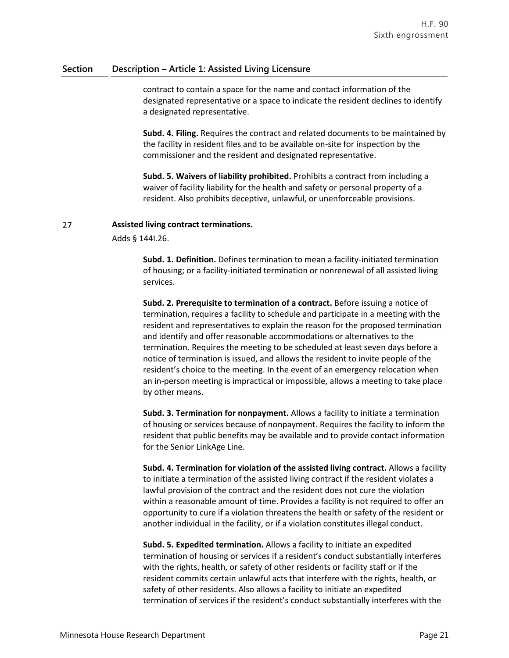contract to contain a space for the name and contact information of the designated representative or a space to indicate the resident declines to identify a designated representative.

**Subd. 4. Filing.** Requires the contract and related documents to be maintained by the facility in resident files and to be available on-site for inspection by the commissioner and the resident and designated representative.

**Subd. 5. Waivers of liability prohibited.** Prohibits a contract from including a waiver of facility liability for the health and safety or personal property of a resident. Also prohibits deceptive, unlawful, or unenforceable provisions.

### 27 **Assisted living contract terminations.**

Adds § 144I.26.

**Subd. 1. Definition.** Defines termination to mean a facility-initiated termination of housing; or a facility-initiated termination or nonrenewal of all assisted living services.

**Subd. 2. Prerequisite to termination of a contract.** Before issuing a notice of termination, requires a facility to schedule and participate in a meeting with the resident and representatives to explain the reason for the proposed termination and identify and offer reasonable accommodations or alternatives to the termination. Requires the meeting to be scheduled at least seven days before a notice of termination is issued, and allows the resident to invite people of the resident's choice to the meeting. In the event of an emergency relocation when an in-person meeting is impractical or impossible, allows a meeting to take place by other means.

**Subd. 3. Termination for nonpayment.** Allows a facility to initiate a termination of housing or services because of nonpayment. Requires the facility to inform the resident that public benefits may be available and to provide contact information for the Senior LinkAge Line.

**Subd. 4. Termination for violation of the assisted living contract.** Allows a facility to initiate a termination of the assisted living contract if the resident violates a lawful provision of the contract and the resident does not cure the violation within a reasonable amount of time. Provides a facility is not required to offer an opportunity to cure if a violation threatens the health or safety of the resident or another individual in the facility, or if a violation constitutes illegal conduct.

**Subd. 5. Expedited termination.** Allows a facility to initiate an expedited termination of housing or services if a resident's conduct substantially interferes with the rights, health, or safety of other residents or facility staff or if the resident commits certain unlawful acts that interfere with the rights, health, or safety of other residents. Also allows a facility to initiate an expedited termination of services if the resident's conduct substantially interferes with the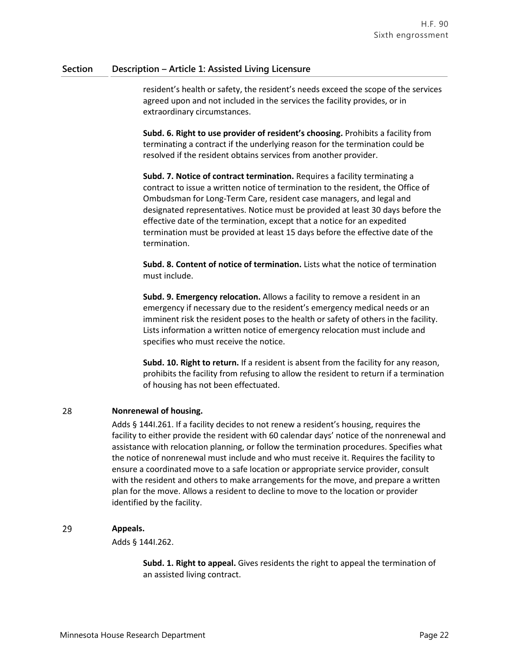resident's health or safety, the resident's needs exceed the scope of the services agreed upon and not included in the services the facility provides, or in extraordinary circumstances.

**Subd. 6. Right to use provider of resident's choosing.** Prohibits a facility from terminating a contract if the underlying reason for the termination could be resolved if the resident obtains services from another provider.

**Subd. 7. Notice of contract termination.** Requires a facility terminating a contract to issue a written notice of termination to the resident, the Office of Ombudsman for Long-Term Care, resident case managers, and legal and designated representatives. Notice must be provided at least 30 days before the effective date of the termination, except that a notice for an expedited termination must be provided at least 15 days before the effective date of the termination.

**Subd. 8. Content of notice of termination.** Lists what the notice of termination must include.

**Subd. 9. Emergency relocation.** Allows a facility to remove a resident in an emergency if necessary due to the resident's emergency medical needs or an imminent risk the resident poses to the health or safety of others in the facility. Lists information a written notice of emergency relocation must include and specifies who must receive the notice.

**Subd. 10. Right to return.** If a resident is absent from the facility for any reason, prohibits the facility from refusing to allow the resident to return if a termination of housing has not been effectuated.

### 28 **Nonrenewal of housing.**

Adds § 144I.261. If a facility decides to not renew a resident's housing, requires the facility to either provide the resident with 60 calendar days' notice of the nonrenewal and assistance with relocation planning, or follow the termination procedures. Specifies what the notice of nonrenewal must include and who must receive it. Requires the facility to ensure a coordinated move to a safe location or appropriate service provider, consult with the resident and others to make arrangements for the move, and prepare a written plan for the move. Allows a resident to decline to move to the location or provider identified by the facility.

### 29 **Appeals.**

Adds § 144I.262.

**Subd. 1. Right to appeal.** Gives residents the right to appeal the termination of an assisted living contract.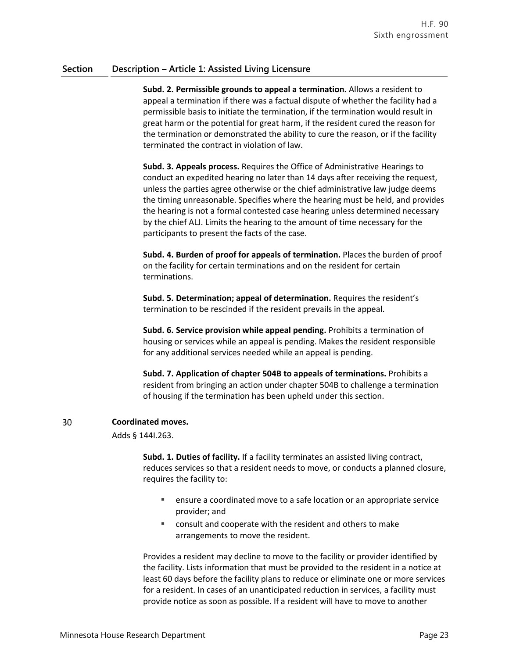**Subd. 2. Permissible grounds to appeal a termination.** Allows a resident to appeal a termination if there was a factual dispute of whether the facility had a permissible basis to initiate the termination, if the termination would result in great harm or the potential for great harm, if the resident cured the reason for the termination or demonstrated the ability to cure the reason, or if the facility terminated the contract in violation of law.

**Subd. 3. Appeals process.** Requires the Office of Administrative Hearings to conduct an expedited hearing no later than 14 days after receiving the request, unless the parties agree otherwise or the chief administrative law judge deems the timing unreasonable. Specifies where the hearing must be held, and provides the hearing is not a formal contested case hearing unless determined necessary by the chief ALJ. Limits the hearing to the amount of time necessary for the participants to present the facts of the case.

**Subd. 4. Burden of proof for appeals of termination.** Places the burden of proof on the facility for certain terminations and on the resident for certain terminations.

**Subd. 5. Determination; appeal of determination.** Requires the resident's termination to be rescinded if the resident prevails in the appeal.

**Subd. 6. Service provision while appeal pending.** Prohibits a termination of housing or services while an appeal is pending. Makes the resident responsible for any additional services needed while an appeal is pending.

**Subd. 7. Application of chapter 504B to appeals of terminations.** Prohibits a resident from bringing an action under chapter 504B to challenge a termination of housing if the termination has been upheld under this section.

### 30 **Coordinated moves.**

Adds § 144I.263.

**Subd. 1. Duties of facility.** If a facility terminates an assisted living contract, reduces services so that a resident needs to move, or conducts a planned closure, requires the facility to:

- ensure a coordinated move to a safe location or an appropriate service provider; and
- consult and cooperate with the resident and others to make arrangements to move the resident.

Provides a resident may decline to move to the facility or provider identified by the facility. Lists information that must be provided to the resident in a notice at least 60 days before the facility plans to reduce or eliminate one or more services for a resident. In cases of an unanticipated reduction in services, a facility must provide notice as soon as possible. If a resident will have to move to another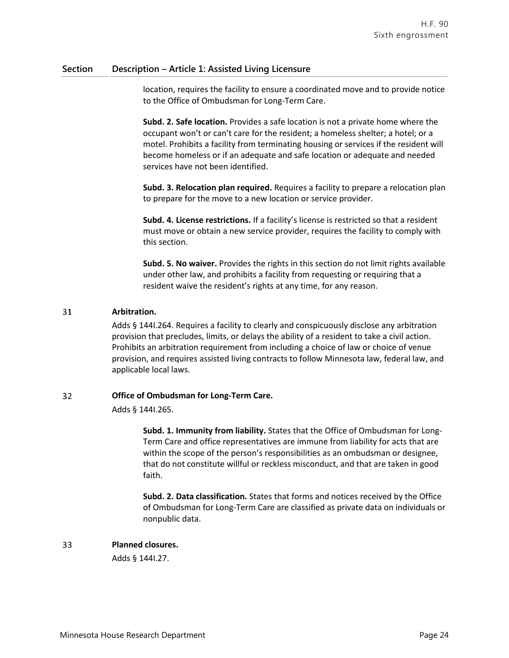location, requires the facility to ensure a coordinated move and to provide notice to the Office of Ombudsman for Long-Term Care.

**Subd. 2. Safe location.** Provides a safe location is not a private home where the occupant won't or can't care for the resident; a homeless shelter; a hotel; or a motel. Prohibits a facility from terminating housing or services if the resident will become homeless or if an adequate and safe location or adequate and needed services have not been identified.

**Subd. 3. Relocation plan required.** Requires a facility to prepare a relocation plan to prepare for the move to a new location or service provider.

**Subd. 4. License restrictions.** If a facility's license is restricted so that a resident must move or obtain a new service provider, requires the facility to comply with this section.

**Subd. 5. No waiver.** Provides the rights in this section do not limit rights available under other law, and prohibits a facility from requesting or requiring that a resident waive the resident's rights at any time, for any reason.

### 31 **Arbitration.**

Adds § 144I.264. Requires a facility to clearly and conspicuously disclose any arbitration provision that precludes, limits, or delays the ability of a resident to take a civil action. Prohibits an arbitration requirement from including a choice of law or choice of venue provision, and requires assisted living contracts to follow Minnesota law, federal law, and applicable local laws.

### 32 **Office of Ombudsman for Long-Term Care.**

Adds § 144I.265.

**Subd. 1. Immunity from liability.** States that the Office of Ombudsman for Long-Term Care and office representatives are immune from liability for acts that are within the scope of the person's responsibilities as an ombudsman or designee, that do not constitute willful or reckless misconduct, and that are taken in good faith.

**Subd. 2. Data classification.** States that forms and notices received by the Office of Ombudsman for Long-Term Care are classified as private data on individuals or nonpublic data.

### 33 **Planned closures.**

Adds § 144I.27.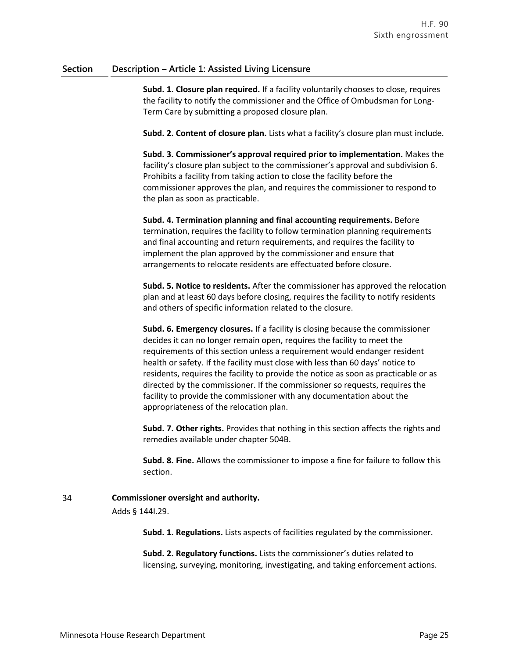**Subd. 1. Closure plan required.** If a facility voluntarily chooses to close, requires the facility to notify the commissioner and the Office of Ombudsman for Long-Term Care by submitting a proposed closure plan.

**Subd. 2. Content of closure plan.** Lists what a facility's closure plan must include.

**Subd. 3. Commissioner's approval required prior to implementation.** Makes the facility's closure plan subject to the commissioner's approval and subdivision 6. Prohibits a facility from taking action to close the facility before the commissioner approves the plan, and requires the commissioner to respond to the plan as soon as practicable.

**Subd. 4. Termination planning and final accounting requirements.** Before termination, requires the facility to follow termination planning requirements and final accounting and return requirements, and requires the facility to implement the plan approved by the commissioner and ensure that arrangements to relocate residents are effectuated before closure.

**Subd. 5. Notice to residents.** After the commissioner has approved the relocation plan and at least 60 days before closing, requires the facility to notify residents and others of specific information related to the closure.

**Subd. 6. Emergency closures.** If a facility is closing because the commissioner decides it can no longer remain open, requires the facility to meet the requirements of this section unless a requirement would endanger resident health or safety. If the facility must close with less than 60 days' notice to residents, requires the facility to provide the notice as soon as practicable or as directed by the commissioner. If the commissioner so requests, requires the facility to provide the commissioner with any documentation about the appropriateness of the relocation plan.

**Subd. 7. Other rights.** Provides that nothing in this section affects the rights and remedies available under chapter 504B.

**Subd. 8. Fine.** Allows the commissioner to impose a fine for failure to follow this section.

### 34 **Commissioner oversight and authority.**

Adds § 144I.29.

**Subd. 1. Regulations.** Lists aspects of facilities regulated by the commissioner.

**Subd. 2. Regulatory functions.** Lists the commissioner's duties related to licensing, surveying, monitoring, investigating, and taking enforcement actions.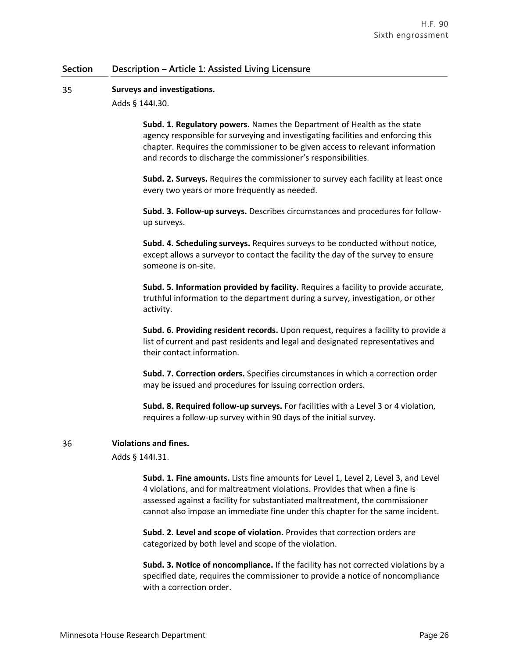#### 35 **Surveys and investigations.**

Adds § 144I.30.

**Subd. 1. Regulatory powers.** Names the Department of Health as the state agency responsible for surveying and investigating facilities and enforcing this chapter. Requires the commissioner to be given access to relevant information and records to discharge the commissioner's responsibilities.

**Subd. 2. Surveys.** Requires the commissioner to survey each facility at least once every two years or more frequently as needed.

**Subd. 3. Follow-up surveys.** Describes circumstances and procedures for followup surveys.

**Subd. 4. Scheduling surveys.** Requires surveys to be conducted without notice, except allows a surveyor to contact the facility the day of the survey to ensure someone is on-site.

**Subd. 5. Information provided by facility.** Requires a facility to provide accurate, truthful information to the department during a survey, investigation, or other activity.

**Subd. 6. Providing resident records.** Upon request, requires a facility to provide a list of current and past residents and legal and designated representatives and their contact information.

**Subd. 7. Correction orders.** Specifies circumstances in which a correction order may be issued and procedures for issuing correction orders.

**Subd. 8. Required follow-up surveys.** For facilities with a Level 3 or 4 violation, requires a follow-up survey within 90 days of the initial survey.

### **Violations and fines.**

36

Adds § 144I.31.

**Subd. 1. Fine amounts.** Lists fine amounts for Level 1, Level 2, Level 3, and Level 4 violations, and for maltreatment violations. Provides that when a fine is assessed against a facility for substantiated maltreatment, the commissioner cannot also impose an immediate fine under this chapter for the same incident.

**Subd. 2. Level and scope of violation.** Provides that correction orders are categorized by both level and scope of the violation.

**Subd. 3. Notice of noncompliance.** If the facility has not corrected violations by a specified date, requires the commissioner to provide a notice of noncompliance with a correction order.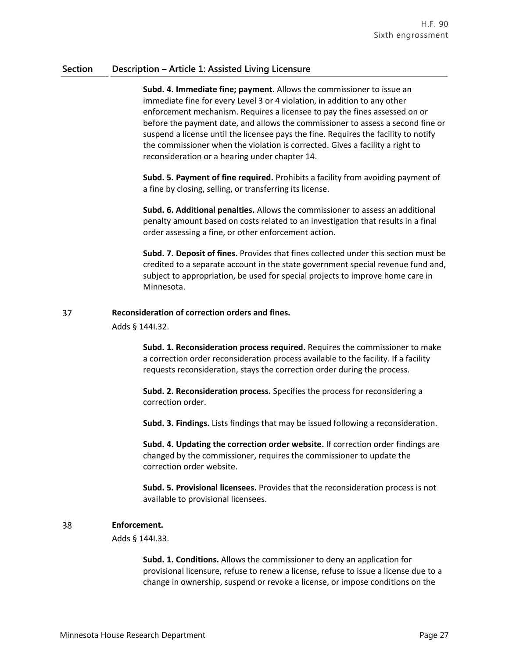**Subd. 4. Immediate fine; payment.** Allows the commissioner to issue an immediate fine for every Level 3 or 4 violation, in addition to any other enforcement mechanism. Requires a licensee to pay the fines assessed on or before the payment date, and allows the commissioner to assess a second fine or suspend a license until the licensee pays the fine. Requires the facility to notify the commissioner when the violation is corrected. Gives a facility a right to reconsideration or a hearing under chapter 14.

**Subd. 5. Payment of fine required.** Prohibits a facility from avoiding payment of a fine by closing, selling, or transferring its license.

**Subd. 6. Additional penalties.** Allows the commissioner to assess an additional penalty amount based on costs related to an investigation that results in a final order assessing a fine, or other enforcement action.

**Subd. 7. Deposit of fines.** Provides that fines collected under this section must be credited to a separate account in the state government special revenue fund and, subject to appropriation, be used for special projects to improve home care in Minnesota.

### 37 **Reconsideration of correction orders and fines.**

Adds § 144I.32.

**Subd. 1. Reconsideration process required.** Requires the commissioner to make a correction order reconsideration process available to the facility. If a facility requests reconsideration, stays the correction order during the process.

**Subd. 2. Reconsideration process.** Specifies the process for reconsidering a correction order.

**Subd. 3. Findings.** Lists findings that may be issued following a reconsideration.

**Subd. 4. Updating the correction order website.** If correction order findings are changed by the commissioner, requires the commissioner to update the correction order website.

**Subd. 5. Provisional licensees.** Provides that the reconsideration process is not available to provisional licensees.

### 38 **Enforcement.**

Adds § 144I.33.

**Subd. 1. Conditions.** Allows the commissioner to deny an application for provisional licensure, refuse to renew a license, refuse to issue a license due to a change in ownership, suspend or revoke a license, or impose conditions on the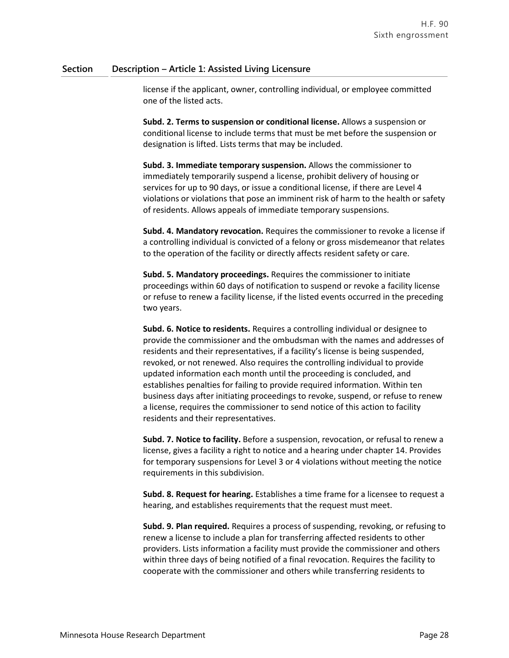license if the applicant, owner, controlling individual, or employee committed one of the listed acts.

**Subd. 2. Terms to suspension or conditional license.** Allows a suspension or conditional license to include terms that must be met before the suspension or designation is lifted. Lists terms that may be included.

**Subd. 3. Immediate temporary suspension.** Allows the commissioner to immediately temporarily suspend a license, prohibit delivery of housing or services for up to 90 days, or issue a conditional license, if there are Level 4 violations or violations that pose an imminent risk of harm to the health or safety of residents. Allows appeals of immediate temporary suspensions.

**Subd. 4. Mandatory revocation.** Requires the commissioner to revoke a license if a controlling individual is convicted of a felony or gross misdemeanor that relates to the operation of the facility or directly affects resident safety or care.

**Subd. 5. Mandatory proceedings.** Requires the commissioner to initiate proceedings within 60 days of notification to suspend or revoke a facility license or refuse to renew a facility license, if the listed events occurred in the preceding two years.

**Subd. 6. Notice to residents.** Requires a controlling individual or designee to provide the commissioner and the ombudsman with the names and addresses of residents and their representatives, if a facility's license is being suspended, revoked, or not renewed. Also requires the controlling individual to provide updated information each month until the proceeding is concluded, and establishes penalties for failing to provide required information. Within ten business days after initiating proceedings to revoke, suspend, or refuse to renew a license, requires the commissioner to send notice of this action to facility residents and their representatives.

**Subd. 7. Notice to facility.** Before a suspension, revocation, or refusal to renew a license, gives a facility a right to notice and a hearing under chapter 14. Provides for temporary suspensions for Level 3 or 4 violations without meeting the notice requirements in this subdivision.

**Subd. 8. Request for hearing.** Establishes a time frame for a licensee to request a hearing, and establishes requirements that the request must meet.

**Subd. 9. Plan required.** Requires a process of suspending, revoking, or refusing to renew a license to include a plan for transferring affected residents to other providers. Lists information a facility must provide the commissioner and others within three days of being notified of a final revocation. Requires the facility to cooperate with the commissioner and others while transferring residents to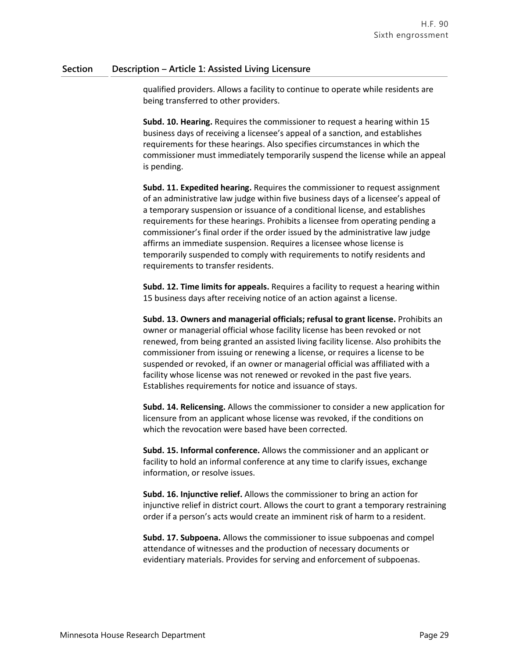qualified providers. Allows a facility to continue to operate while residents are being transferred to other providers.

**Subd. 10. Hearing.** Requires the commissioner to request a hearing within 15 business days of receiving a licensee's appeal of a sanction, and establishes requirements for these hearings. Also specifies circumstances in which the commissioner must immediately temporarily suspend the license while an appeal is pending.

**Subd. 11. Expedited hearing.** Requires the commissioner to request assignment of an administrative law judge within five business days of a licensee's appeal of a temporary suspension or issuance of a conditional license, and establishes requirements for these hearings. Prohibits a licensee from operating pending a commissioner's final order if the order issued by the administrative law judge affirms an immediate suspension. Requires a licensee whose license is temporarily suspended to comply with requirements to notify residents and requirements to transfer residents.

**Subd. 12. Time limits for appeals.** Requires a facility to request a hearing within 15 business days after receiving notice of an action against a license.

**Subd. 13. Owners and managerial officials; refusal to grant license.** Prohibits an owner or managerial official whose facility license has been revoked or not renewed, from being granted an assisted living facility license. Also prohibits the commissioner from issuing or renewing a license, or requires a license to be suspended or revoked, if an owner or managerial official was affiliated with a facility whose license was not renewed or revoked in the past five years. Establishes requirements for notice and issuance of stays.

**Subd. 14. Relicensing.** Allows the commissioner to consider a new application for licensure from an applicant whose license was revoked, if the conditions on which the revocation were based have been corrected.

**Subd. 15. Informal conference.** Allows the commissioner and an applicant or facility to hold an informal conference at any time to clarify issues, exchange information, or resolve issues.

**Subd. 16. Injunctive relief.** Allows the commissioner to bring an action for injunctive relief in district court. Allows the court to grant a temporary restraining order if a person's acts would create an imminent risk of harm to a resident.

**Subd. 17. Subpoena.** Allows the commissioner to issue subpoenas and compel attendance of witnesses and the production of necessary documents or evidentiary materials. Provides for serving and enforcement of subpoenas.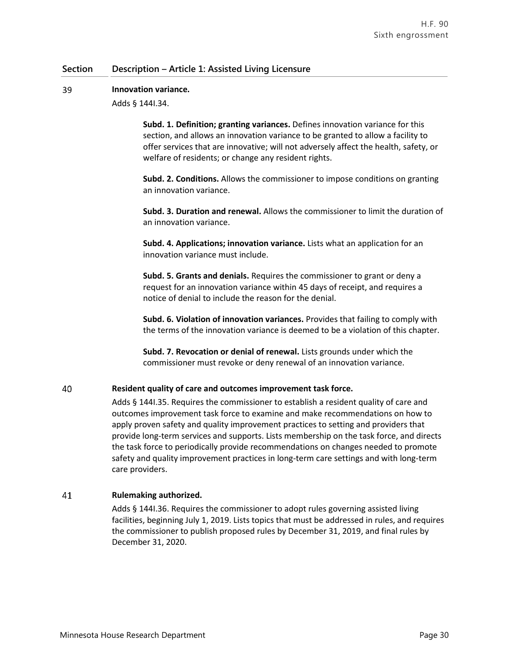#### 39 **Innovation variance.**

Adds § 144I.34.

**Subd. 1. Definition; granting variances.** Defines innovation variance for this section, and allows an innovation variance to be granted to allow a facility to offer services that are innovative; will not adversely affect the health, safety, or welfare of residents; or change any resident rights.

**Subd. 2. Conditions.** Allows the commissioner to impose conditions on granting an innovation variance.

**Subd. 3. Duration and renewal.** Allows the commissioner to limit the duration of an innovation variance.

**Subd. 4. Applications; innovation variance.** Lists what an application for an innovation variance must include.

**Subd. 5. Grants and denials.** Requires the commissioner to grant or deny a request for an innovation variance within 45 days of receipt, and requires a notice of denial to include the reason for the denial.

**Subd. 6. Violation of innovation variances.** Provides that failing to comply with the terms of the innovation variance is deemed to be a violation of this chapter.

**Subd. 7. Revocation or denial of renewal.** Lists grounds under which the commissioner must revoke or deny renewal of an innovation variance.

### 40 **Resident quality of care and outcomes improvement task force.**

Adds § 144I.35. Requires the commissioner to establish a resident quality of care and outcomes improvement task force to examine and make recommendations on how to apply proven safety and quality improvement practices to setting and providers that provide long-term services and supports. Lists membership on the task force, and directs the task force to periodically provide recommendations on changes needed to promote safety and quality improvement practices in long-term care settings and with long-term care providers.

### 41 **Rulemaking authorized.**

Adds § 144I.36. Requires the commissioner to adopt rules governing assisted living facilities, beginning July 1, 2019. Lists topics that must be addressed in rules, and requires the commissioner to publish proposed rules by December 31, 2019, and final rules by December 31, 2020.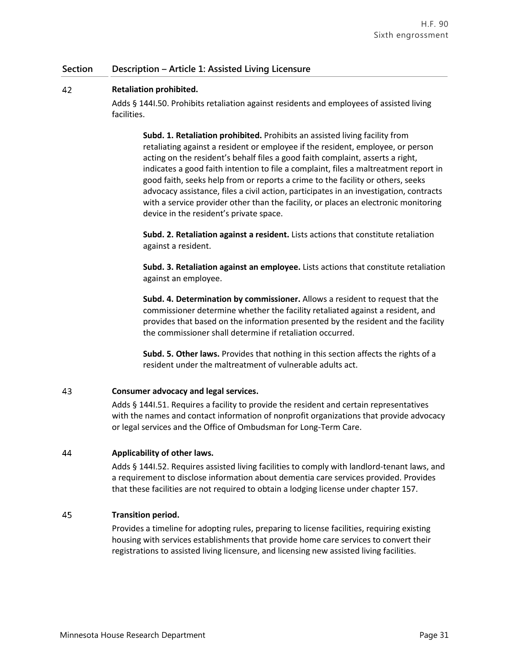### 42 **Retaliation prohibited.**

Adds § 144I.50. Prohibits retaliation against residents and employees of assisted living facilities.

**Subd. 1. Retaliation prohibited.** Prohibits an assisted living facility from retaliating against a resident or employee if the resident, employee, or person acting on the resident's behalf files a good faith complaint, asserts a right, indicates a good faith intention to file a complaint, files a maltreatment report in good faith, seeks help from or reports a crime to the facility or others, seeks advocacy assistance, files a civil action, participates in an investigation, contracts with a service provider other than the facility, or places an electronic monitoring device in the resident's private space.

**Subd. 2. Retaliation against a resident.** Lists actions that constitute retaliation against a resident.

**Subd. 3. Retaliation against an employee.** Lists actions that constitute retaliation against an employee.

**Subd. 4. Determination by commissioner.** Allows a resident to request that the commissioner determine whether the facility retaliated against a resident, and provides that based on the information presented by the resident and the facility the commissioner shall determine if retaliation occurred.

**Subd. 5. Other laws.** Provides that nothing in this section affects the rights of a resident under the maltreatment of vulnerable adults act.

### 43 **Consumer advocacy and legal services.**

Adds § 144I.51. Requires a facility to provide the resident and certain representatives with the names and contact information of nonprofit organizations that provide advocacy or legal services and the Office of Ombudsman for Long-Term Care.

### 44 **Applicability of other laws.**

Adds § 144I.52. Requires assisted living facilities to comply with landlord-tenant laws, and a requirement to disclose information about dementia care services provided. Provides that these facilities are not required to obtain a lodging license under chapter 157.

#### 45 **Transition period.**

Provides a timeline for adopting rules, preparing to license facilities, requiring existing housing with services establishments that provide home care services to convert their registrations to assisted living licensure, and licensing new assisted living facilities.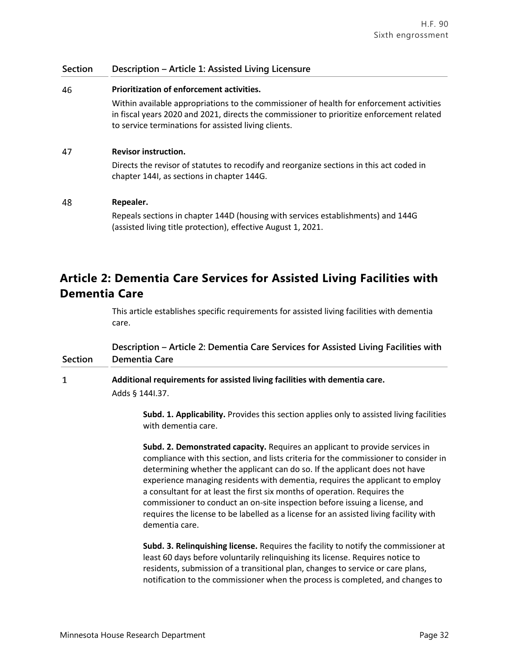chapter 144I, as sections in chapter 144G.

# 46 **Prioritization of enforcement activities.** Within available appropriations to the commissioner of health for enforcement activities in fiscal years 2020 and 2021, directs the commissioner to prioritize enforcement related to service terminations for assisted living clients. 47 **Revisor instruction.** Directs the revisor of statutes to recodify and reorganize sections in this act coded in

#### 48 **Repealer.**

Repeals sections in chapter 144D (housing with services establishments) and 144G (assisted living title protection), effective August 1, 2021.

# **Article 2: Dementia Care Services for Assisted Living Facilities with Dementia Care**

This article establishes specific requirements for assisted living facilities with dementia care.

### **Section Description – Article 2: Dementia Care Services for Assisted Living Facilities with Dementia Care**

### $\mathbf{1}$ **Additional requirements for assisted living facilities with dementia care.** Adds § 144I.37.

**Subd. 1. Applicability.** Provides this section applies only to assisted living facilities with dementia care.

**Subd. 2. Demonstrated capacity.** Requires an applicant to provide services in compliance with this section, and lists criteria for the commissioner to consider in determining whether the applicant can do so. If the applicant does not have experience managing residents with dementia, requires the applicant to employ a consultant for at least the first six months of operation. Requires the commissioner to conduct an on-site inspection before issuing a license, and requires the license to be labelled as a license for an assisted living facility with dementia care.

**Subd. 3. Relinquishing license.** Requires the facility to notify the commissioner at least 60 days before voluntarily relinquishing its license. Requires notice to residents, submission of a transitional plan, changes to service or care plans, notification to the commissioner when the process is completed, and changes to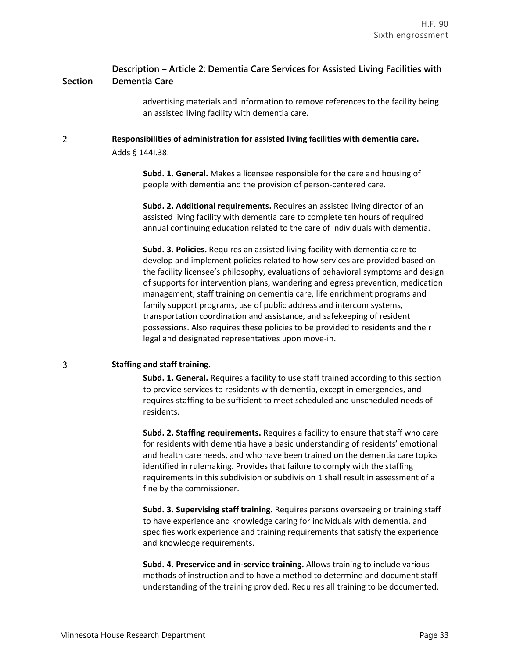### **Section Description – Article 2: Dementia Care Services for Assisted Living Facilities with Dementia Care**

advertising materials and information to remove references to the facility being an assisted living facility with dementia care.

 $\overline{2}$ **Responsibilities of administration for assisted living facilities with dementia care.** Adds § 144I.38.

> **Subd. 1. General.** Makes a licensee responsible for the care and housing of people with dementia and the provision of person-centered care.

**Subd. 2. Additional requirements.** Requires an assisted living director of an assisted living facility with dementia care to complete ten hours of required annual continuing education related to the care of individuals with dementia.

**Subd. 3. Policies.** Requires an assisted living facility with dementia care to develop and implement policies related to how services are provided based on the facility licensee's philosophy, evaluations of behavioral symptoms and design of supports for intervention plans, wandering and egress prevention, medication management, staff training on dementia care, life enrichment programs and family support programs, use of public address and intercom systems, transportation coordination and assistance, and safekeeping of resident possessions. Also requires these policies to be provided to residents and their legal and designated representatives upon move-in.

### **Staffing and staff training.**

3

**Subd. 1. General.** Requires a facility to use staff trained according to this section to provide services to residents with dementia, except in emergencies, and requires staffing to be sufficient to meet scheduled and unscheduled needs of residents.

**Subd. 2. Staffing requirements.** Requires a facility to ensure that staff who care for residents with dementia have a basic understanding of residents' emotional and health care needs, and who have been trained on the dementia care topics identified in rulemaking. Provides that failure to comply with the staffing requirements in this subdivision or subdivision 1 shall result in assessment of a fine by the commissioner.

**Subd. 3. Supervising staff training.** Requires persons overseeing or training staff to have experience and knowledge caring for individuals with dementia, and specifies work experience and training requirements that satisfy the experience and knowledge requirements.

**Subd. 4. Preservice and in-service training.** Allows training to include various methods of instruction and to have a method to determine and document staff understanding of the training provided. Requires all training to be documented.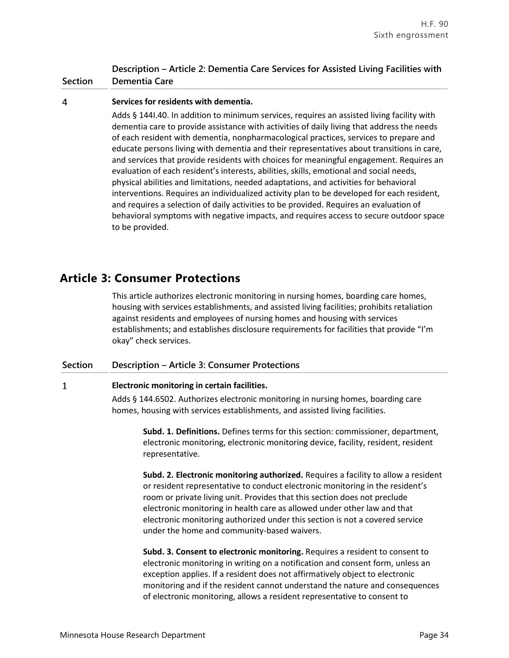### **Section Description – Article 2: Dementia Care Services for Assisted Living Facilities with Dementia Care**

#### $\overline{4}$ **Services for residents with dementia.**

Adds § 144I.40. In addition to minimum services, requires an assisted living facility with dementia care to provide assistance with activities of daily living that address the needs of each resident with dementia, nonpharmacological practices, services to prepare and educate persons living with dementia and their representatives about transitions in care, and services that provide residents with choices for meaningful engagement. Requires an evaluation of each resident's interests, abilities, skills, emotional and social needs, physical abilities and limitations, needed adaptations, and activities for behavioral interventions. Requires an individualized activity plan to be developed for each resident, and requires a selection of daily activities to be provided. Requires an evaluation of behavioral symptoms with negative impacts, and requires access to secure outdoor space to be provided.

# **Article 3: Consumer Protections**

This article authorizes electronic monitoring in nursing homes, boarding care homes, housing with services establishments, and assisted living facilities; prohibits retaliation against residents and employees of nursing homes and housing with services establishments; and establishes disclosure requirements for facilities that provide "I'm okay" check services.

### **Section Description – Article 3: Consumer Protections**

### $\mathbf{1}$ **Electronic monitoring in certain facilities.**

Adds § 144.6502. Authorizes electronic monitoring in nursing homes, boarding care homes, housing with services establishments, and assisted living facilities.

**Subd. 1. Definitions.** Defines terms for this section: commissioner, department, electronic monitoring, electronic monitoring device, facility, resident, resident representative.

**Subd. 2. Electronic monitoring authorized.** Requires a facility to allow a resident or resident representative to conduct electronic monitoring in the resident's room or private living unit. Provides that this section does not preclude electronic monitoring in health care as allowed under other law and that electronic monitoring authorized under this section is not a covered service under the home and community-based waivers.

**Subd. 3. Consent to electronic monitoring.** Requires a resident to consent to electronic monitoring in writing on a notification and consent form, unless an exception applies. If a resident does not affirmatively object to electronic monitoring and if the resident cannot understand the nature and consequences of electronic monitoring, allows a resident representative to consent to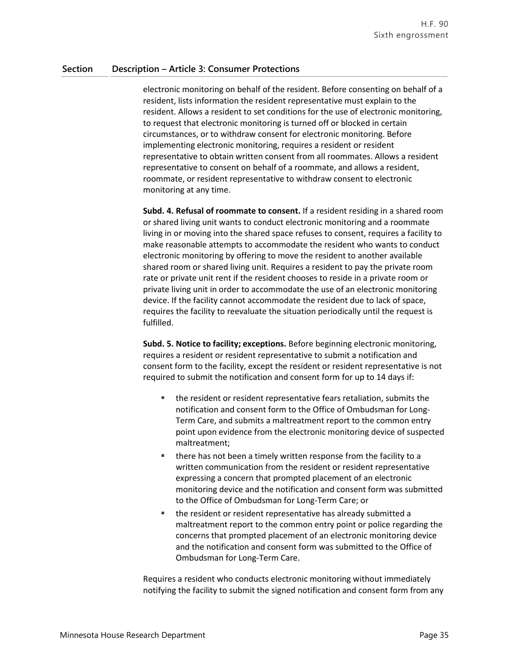electronic monitoring on behalf of the resident. Before consenting on behalf of a resident, lists information the resident representative must explain to the resident. Allows a resident to set conditions for the use of electronic monitoring, to request that electronic monitoring is turned off or blocked in certain circumstances, or to withdraw consent for electronic monitoring. Before implementing electronic monitoring, requires a resident or resident representative to obtain written consent from all roommates. Allows a resident representative to consent on behalf of a roommate, and allows a resident, roommate, or resident representative to withdraw consent to electronic monitoring at any time.

**Subd. 4. Refusal of roommate to consent.** If a resident residing in a shared room or shared living unit wants to conduct electronic monitoring and a roommate living in or moving into the shared space refuses to consent, requires a facility to make reasonable attempts to accommodate the resident who wants to conduct electronic monitoring by offering to move the resident to another available shared room or shared living unit. Requires a resident to pay the private room rate or private unit rent if the resident chooses to reside in a private room or private living unit in order to accommodate the use of an electronic monitoring device. If the facility cannot accommodate the resident due to lack of space, requires the facility to reevaluate the situation periodically until the request is fulfilled.

**Subd. 5. Notice to facility; exceptions.** Before beginning electronic monitoring, requires a resident or resident representative to submit a notification and consent form to the facility, except the resident or resident representative is not required to submit the notification and consent form for up to 14 days if:

- the resident or resident representative fears retaliation, submits the notification and consent form to the Office of Ombudsman for Long-Term Care, and submits a maltreatment report to the common entry point upon evidence from the electronic monitoring device of suspected maltreatment;
- **there has not been a timely written response from the facility to a** written communication from the resident or resident representative expressing a concern that prompted placement of an electronic monitoring device and the notification and consent form was submitted to the Office of Ombudsman for Long-Term Care; or
- the resident or resident representative has already submitted a maltreatment report to the common entry point or police regarding the concerns that prompted placement of an electronic monitoring device and the notification and consent form was submitted to the Office of Ombudsman for Long-Term Care.

Requires a resident who conducts electronic monitoring without immediately notifying the facility to submit the signed notification and consent form from any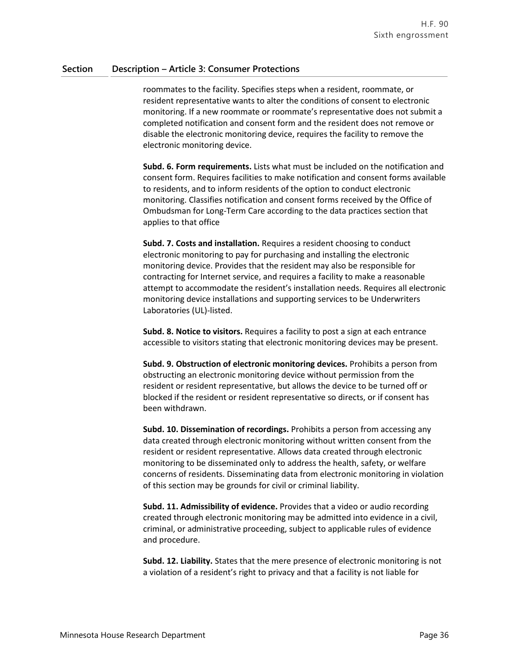roommates to the facility. Specifies steps when a resident, roommate, or resident representative wants to alter the conditions of consent to electronic monitoring. If a new roommate or roommate's representative does not submit a completed notification and consent form and the resident does not remove or disable the electronic monitoring device, requires the facility to remove the electronic monitoring device.

**Subd. 6. Form requirements.** Lists what must be included on the notification and consent form. Requires facilities to make notification and consent forms available to residents, and to inform residents of the option to conduct electronic monitoring. Classifies notification and consent forms received by the Office of Ombudsman for Long-Term Care according to the data practices section that applies to that office

**Subd. 7. Costs and installation.** Requires a resident choosing to conduct electronic monitoring to pay for purchasing and installing the electronic monitoring device. Provides that the resident may also be responsible for contracting for Internet service, and requires a facility to make a reasonable attempt to accommodate the resident's installation needs. Requires all electronic monitoring device installations and supporting services to be Underwriters Laboratories (UL)-listed.

**Subd. 8. Notice to visitors.** Requires a facility to post a sign at each entrance accessible to visitors stating that electronic monitoring devices may be present.

**Subd. 9. Obstruction of electronic monitoring devices.** Prohibits a person from obstructing an electronic monitoring device without permission from the resident or resident representative, but allows the device to be turned off or blocked if the resident or resident representative so directs, or if consent has been withdrawn.

**Subd. 10. Dissemination of recordings.** Prohibits a person from accessing any data created through electronic monitoring without written consent from the resident or resident representative. Allows data created through electronic monitoring to be disseminated only to address the health, safety, or welfare concerns of residents. Disseminating data from electronic monitoring in violation of this section may be grounds for civil or criminal liability.

**Subd. 11. Admissibility of evidence.** Provides that a video or audio recording created through electronic monitoring may be admitted into evidence in a civil, criminal, or administrative proceeding, subject to applicable rules of evidence and procedure.

**Subd. 12. Liability.** States that the mere presence of electronic monitoring is not a violation of a resident's right to privacy and that a facility is not liable for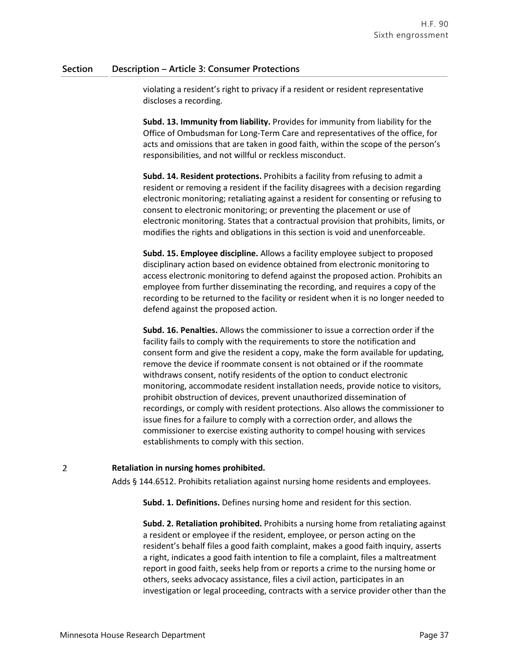violating a resident's right to privacy if a resident or resident representative discloses a recording.

**Subd. 13. Immunity from liability.** Provides for immunity from liability for the Office of Ombudsman for Long-Term Care and representatives of the office, for acts and omissions that are taken in good faith, within the scope of the person's responsibilities, and not willful or reckless misconduct.

**Subd. 14. Resident protections.** Prohibits a facility from refusing to admit a resident or removing a resident if the facility disagrees with a decision regarding electronic monitoring; retaliating against a resident for consenting or refusing to consent to electronic monitoring; or preventing the placement or use of electronic monitoring. States that a contractual provision that prohibits, limits, or modifies the rights and obligations in this section is void and unenforceable.

**Subd. 15. Employee discipline.** Allows a facility employee subject to proposed disciplinary action based on evidence obtained from electronic monitoring to access electronic monitoring to defend against the proposed action. Prohibits an employee from further disseminating the recording, and requires a copy of the recording to be returned to the facility or resident when it is no longer needed to defend against the proposed action.

**Subd. 16. Penalties.** Allows the commissioner to issue a correction order if the facility fails to comply with the requirements to store the notification and consent form and give the resident a copy, make the form available for updating, remove the device if roommate consent is not obtained or if the roommate withdraws consent, notify residents of the option to conduct electronic monitoring, accommodate resident installation needs, provide notice to visitors, prohibit obstruction of devices, prevent unauthorized dissemination of recordings, or comply with resident protections. Also allows the commissioner to issue fines for a failure to comply with a correction order, and allows the commissioner to exercise existing authority to compel housing with services establishments to comply with this section.

### **Retaliation in nursing homes prohibited.**

Adds § 144.6512. Prohibits retaliation against nursing home residents and employees.

**Subd. 1. Definitions.** Defines nursing home and resident for this section.

**Subd. 2. Retaliation prohibited.** Prohibits a nursing home from retaliating against a resident or employee if the resident, employee, or person acting on the resident's behalf files a good faith complaint, makes a good faith inquiry, asserts a right, indicates a good faith intention to file a complaint, files a maltreatment report in good faith, seeks help from or reports a crime to the nursing home or others, seeks advocacy assistance, files a civil action, participates in an investigation or legal proceeding, contracts with a service provider other than the

 $\overline{2}$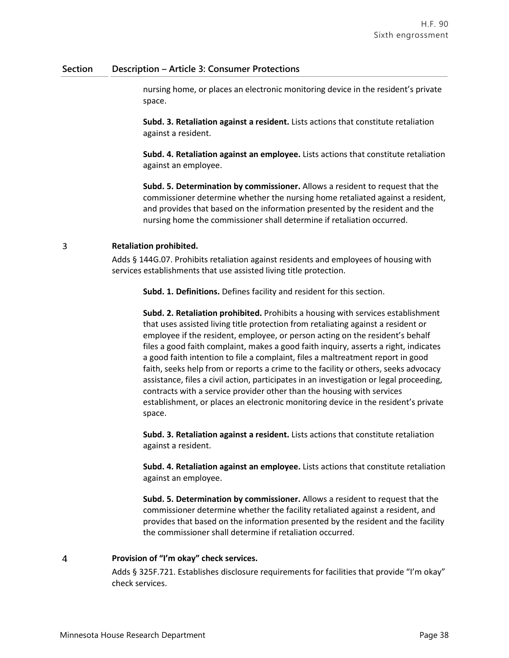nursing home, or places an electronic monitoring device in the resident's private space.

**Subd. 3. Retaliation against a resident.** Lists actions that constitute retaliation against a resident.

**Subd. 4. Retaliation against an employee.** Lists actions that constitute retaliation against an employee.

**Subd. 5. Determination by commissioner.** Allows a resident to request that the commissioner determine whether the nursing home retaliated against a resident, and provides that based on the information presented by the resident and the nursing home the commissioner shall determine if retaliation occurred.

### 3 **Retaliation prohibited.**

Adds § 144G.07. Prohibits retaliation against residents and employees of housing with services establishments that use assisted living title protection.

**Subd. 1. Definitions.** Defines facility and resident for this section.

**Subd. 2. Retaliation prohibited.** Prohibits a housing with services establishment that uses assisted living title protection from retaliating against a resident or employee if the resident, employee, or person acting on the resident's behalf files a good faith complaint, makes a good faith inquiry, asserts a right, indicates a good faith intention to file a complaint, files a maltreatment report in good faith, seeks help from or reports a crime to the facility or others, seeks advocacy assistance, files a civil action, participates in an investigation or legal proceeding, contracts with a service provider other than the housing with services establishment, or places an electronic monitoring device in the resident's private space.

**Subd. 3. Retaliation against a resident.** Lists actions that constitute retaliation against a resident.

**Subd. 4. Retaliation against an employee.** Lists actions that constitute retaliation against an employee.

**Subd. 5. Determination by commissioner.** Allows a resident to request that the commissioner determine whether the facility retaliated against a resident, and provides that based on the information presented by the resident and the facility the commissioner shall determine if retaliation occurred.

### $\overline{4}$ **Provision of "I'm okay" check services.**

Adds § 325F.721. Establishes disclosure requirements for facilities that provide "I'm okay" check services.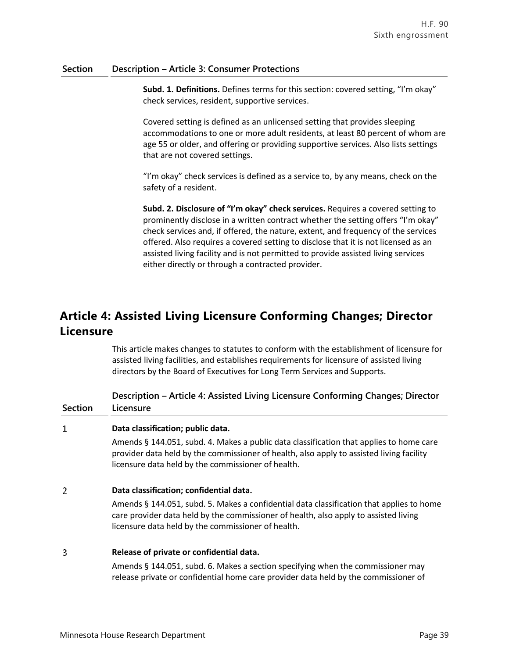**Subd. 1. Definitions.** Defines terms for this section: covered setting, "I'm okay" check services, resident, supportive services.

Covered setting is defined as an unlicensed setting that provides sleeping accommodations to one or more adult residents, at least 80 percent of whom are age 55 or older, and offering or providing supportive services. Also lists settings that are not covered settings.

"I'm okay" check services is defined as a service to, by any means, check on the safety of a resident.

**Subd. 2. Disclosure of "I'm okay" check services.** Requires a covered setting to prominently disclose in a written contract whether the setting offers "I'm okay" check services and, if offered, the nature, extent, and frequency of the services offered. Also requires a covered setting to disclose that it is not licensed as an assisted living facility and is not permitted to provide assisted living services either directly or through a contracted provider.

# **Article 4: Assisted Living Licensure Conforming Changes; Director Licensure**

This article makes changes to statutes to conform with the establishment of licensure for assisted living facilities, and establishes requirements for licensure of assisted living directors by the Board of Executives for Long Term Services and Supports.

**Section Description – Article 4: Assisted Living Licensure Conforming Changes; Director Licensure**

### $\mathbf{1}$ **Data classification; public data.**

Amends § 144.051, subd. 4. Makes a public data classification that applies to home care provider data held by the commissioner of health, also apply to assisted living facility licensure data held by the commissioner of health.

#### $\overline{2}$ **Data classification; confidential data.**

Amends § 144.051, subd. 5. Makes a confidential data classification that applies to home care provider data held by the commissioner of health, also apply to assisted living licensure data held by the commissioner of health.

#### 3 **Release of private or confidential data.**

Amends § 144.051, subd. 6. Makes a section specifying when the commissioner may release private or confidential home care provider data held by the commissioner of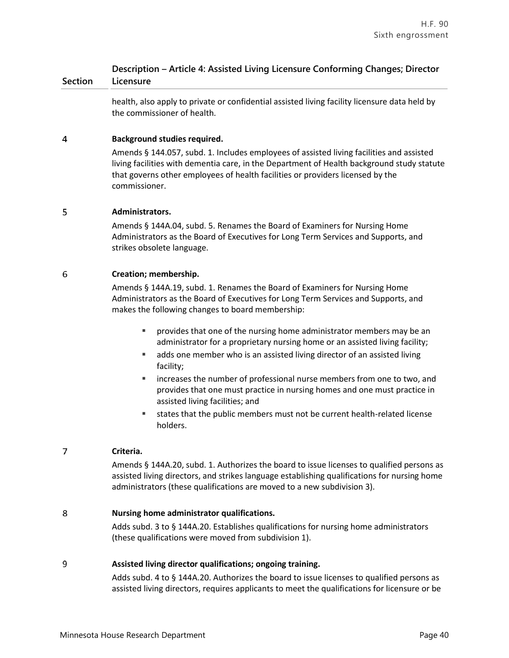health, also apply to private or confidential assisted living facility licensure data held by the commissioner of health.

### $\overline{4}$ **Background studies required.**

Amends § 144.057, subd. 1. Includes employees of assisted living facilities and assisted living facilities with dementia care, in the Department of Health background study statute that governs other employees of health facilities or providers licensed by the commissioner.

### 5 **Administrators.**

Amends § 144A.04, subd. 5. Renames the Board of Examiners for Nursing Home Administrators as the Board of Executives for Long Term Services and Supports, and strikes obsolete language.

### 6 **Creation; membership.**

Amends § 144A.19, subd. 1. Renames the Board of Examiners for Nursing Home Administrators as the Board of Executives for Long Term Services and Supports, and makes the following changes to board membership:

- provides that one of the nursing home administrator members may be an administrator for a proprietary nursing home or an assisted living facility;
- adds one member who is an assisted living director of an assisted living facility;
- increases the number of professional nurse members from one to two, and provides that one must practice in nursing homes and one must practice in assisted living facilities; and
- states that the public members must not be current health-related license holders.

### $\overline{7}$ **Criteria.**

Amends § 144A.20, subd. 1. Authorizes the board to issue licenses to qualified persons as assisted living directors, and strikes language establishing qualifications for nursing home administrators (these qualifications are moved to a new subdivision 3).

### 8 **Nursing home administrator qualifications.**

Adds subd. 3 to § 144A.20. Establishes qualifications for nursing home administrators (these qualifications were moved from subdivision 1).

### 9 **Assisted living director qualifications; ongoing training.**

Adds subd. 4 to § 144A.20. Authorizes the board to issue licenses to qualified persons as assisted living directors, requires applicants to meet the qualifications for licensure or be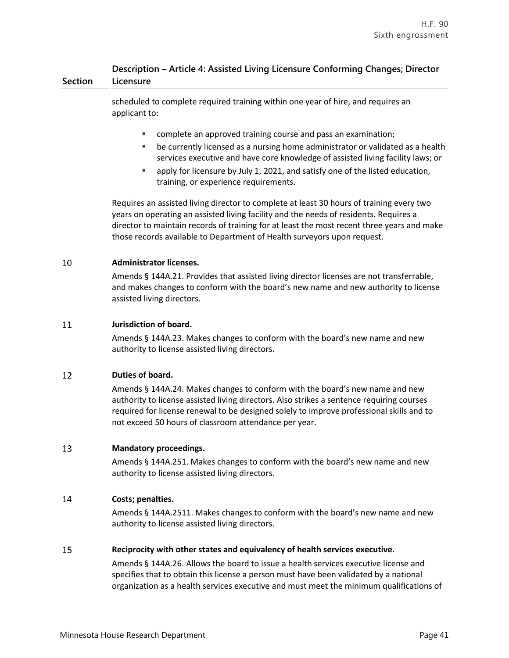scheduled to complete required training within one year of hire, and requires an applicant to:

- complete an approved training course and pass an examination;
- be currently licensed as a nursing home administrator or validated as a health services executive and have core knowledge of assisted living facility laws; or
- apply for licensure by July 1, 2021, and satisfy one of the listed education, training, or experience requirements.

Requires an assisted living director to complete at least 30 hours of training every two years on operating an assisted living facility and the needs of residents. Requires a director to maintain records of training for at least the most recent three years and make those records available to Department of Health surveyors upon request.

### 10 **Administrator licenses.**

Amends § 144A.21. Provides that assisted living director licenses are not transferrable, and makes changes to conform with the board's new name and new authority to license assisted living directors.

### 11 **Jurisdiction of board.**

Amends § 144A.23. Makes changes to conform with the board's new name and new authority to license assisted living directors.

### 12 **Duties of board.**

Amends § 144A.24. Makes changes to conform with the board's new name and new authority to license assisted living directors. Also strikes a sentence requiring courses required for license renewal to be designed solely to improve professional skills and to not exceed 50 hours of classroom attendance per year.

### 13 **Mandatory proceedings.**

Amends § 144A.251. Makes changes to conform with the board's new name and new authority to license assisted living directors.

### 14 **Costs; penalties.**

Amends § 144A.2511. Makes changes to conform with the board's new name and new authority to license assisted living directors.

### 15 **Reciprocity with other states and equivalency of health services executive.**

Amends § 144A.26. Allows the board to issue a health services executive license and specifies that to obtain this license a person must have been validated by a national organization as a health services executive and must meet the minimum qualifications of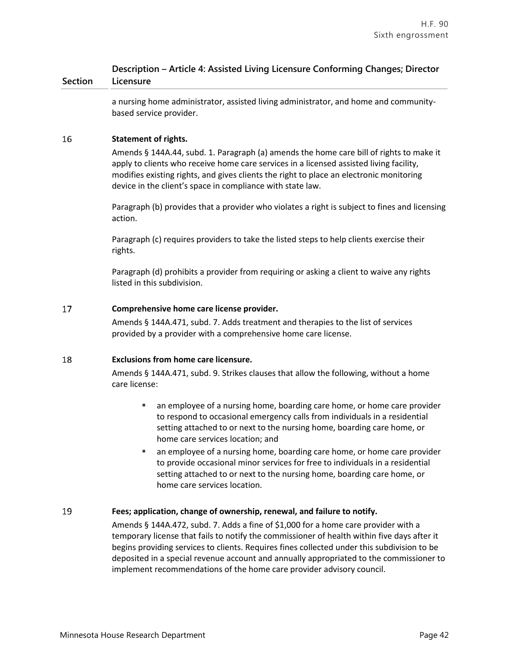a nursing home administrator, assisted living administrator, and home and communitybased service provider.

### 16 **Statement of rights.**

Amends § 144A.44, subd. 1. Paragraph (a) amends the home care bill of rights to make it apply to clients who receive home care services in a licensed assisted living facility, modifies existing rights, and gives clients the right to place an electronic monitoring device in the client's space in compliance with state law.

Paragraph (b) provides that a provider who violates a right is subject to fines and licensing action.

Paragraph (c) requires providers to take the listed steps to help clients exercise their rights.

Paragraph (d) prohibits a provider from requiring or asking a client to waive any rights listed in this subdivision.

### 17 **Comprehensive home care license provider.**

Amends § 144A.471, subd. 7. Adds treatment and therapies to the list of services provided by a provider with a comprehensive home care license.

### 18 **Exclusions from home care licensure.**

Amends § 144A.471, subd. 9. Strikes clauses that allow the following, without a home care license:

- an employee of a nursing home, boarding care home, or home care provider to respond to occasional emergency calls from individuals in a residential setting attached to or next to the nursing home, boarding care home, or home care services location; and
- an employee of a nursing home, boarding care home, or home care provider to provide occasional minor services for free to individuals in a residential setting attached to or next to the nursing home, boarding care home, or home care services location.

### 19 **Fees; application, change of ownership, renewal, and failure to notify.**

Amends § 144A.472, subd. 7. Adds a fine of \$1,000 for a home care provider with a temporary license that fails to notify the commissioner of health within five days after it begins providing services to clients. Requires fines collected under this subdivision to be deposited in a special revenue account and annually appropriated to the commissioner to implement recommendations of the home care provider advisory council.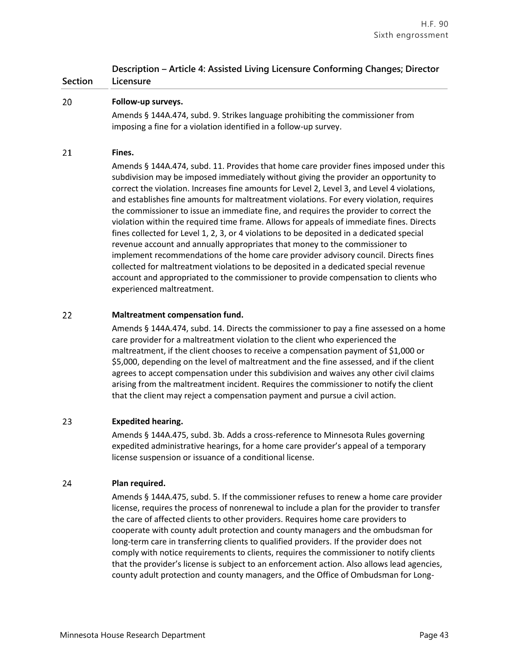### 20 **Follow-up surveys.**

Amends § 144A.474, subd. 9. Strikes language prohibiting the commissioner from imposing a fine for a violation identified in a follow-up survey.

#### 21 **Fines.**

Amends § 144A.474, subd. 11. Provides that home care provider fines imposed under this subdivision may be imposed immediately without giving the provider an opportunity to correct the violation. Increases fine amounts for Level 2, Level 3, and Level 4 violations, and establishes fine amounts for maltreatment violations. For every violation, requires the commissioner to issue an immediate fine, and requires the provider to correct the violation within the required time frame. Allows for appeals of immediate fines. Directs fines collected for Level 1, 2, 3, or 4 violations to be deposited in a dedicated special revenue account and annually appropriates that money to the commissioner to implement recommendations of the home care provider advisory council. Directs fines collected for maltreatment violations to be deposited in a dedicated special revenue account and appropriated to the commissioner to provide compensation to clients who experienced maltreatment.

#### 22 **Maltreatment compensation fund.**

Amends § 144A.474, subd. 14. Directs the commissioner to pay a fine assessed on a home care provider for a maltreatment violation to the client who experienced the maltreatment, if the client chooses to receive a compensation payment of \$1,000 or \$5,000, depending on the level of maltreatment and the fine assessed, and if the client agrees to accept compensation under this subdivision and waives any other civil claims arising from the maltreatment incident. Requires the commissioner to notify the client that the client may reject a compensation payment and pursue a civil action.

### 23 **Expedited hearing.**

Amends § 144A.475, subd. 3b. Adds a cross-reference to Minnesota Rules governing expedited administrative hearings, for a home care provider's appeal of a temporary license suspension or issuance of a conditional license.

#### 24 **Plan required.**

Amends § 144A.475, subd. 5. If the commissioner refuses to renew a home care provider license, requires the process of nonrenewal to include a plan for the provider to transfer the care of affected clients to other providers. Requires home care providers to cooperate with county adult protection and county managers and the ombudsman for long-term care in transferring clients to qualified providers. If the provider does not comply with notice requirements to clients, requires the commissioner to notify clients that the provider's license is subject to an enforcement action. Also allows lead agencies, county adult protection and county managers, and the Office of Ombudsman for Long-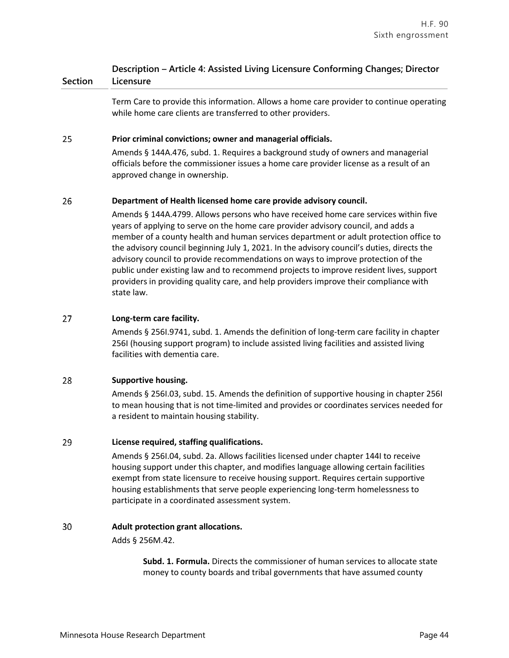Term Care to provide this information. Allows a home care provider to continue operating while home care clients are transferred to other providers.

### 25 **Prior criminal convictions; owner and managerial officials.**

Amends § 144A.476, subd. 1. Requires a background study of owners and managerial officials before the commissioner issues a home care provider license as a result of an approved change in ownership.

### 26 **Department of Health licensed home care provide advisory council.**

Amends § 144A.4799. Allows persons who have received home care services within five years of applying to serve on the home care provider advisory council, and adds a member of a county health and human services department or adult protection office to the advisory council beginning July 1, 2021. In the advisory council's duties, directs the advisory council to provide recommendations on ways to improve protection of the public under existing law and to recommend projects to improve resident lives, support providers in providing quality care, and help providers improve their compliance with state law.

### 27 **Long-term care facility.**

Amends § 256I.9741, subd. 1. Amends the definition of long-term care facility in chapter 256I (housing support program) to include assisted living facilities and assisted living facilities with dementia care.

### 28 **Supportive housing.**

Amends § 256I.03, subd. 15. Amends the definition of supportive housing in chapter 256I to mean housing that is not time-limited and provides or coordinates services needed for a resident to maintain housing stability.

### 29 **License required, staffing qualifications.**

Amends § 256I.04, subd. 2a. Allows facilities licensed under chapter 144I to receive housing support under this chapter, and modifies language allowing certain facilities exempt from state licensure to receive housing support. Requires certain supportive housing establishments that serve people experiencing long-term homelessness to participate in a coordinated assessment system.

### 30 **Adult protection grant allocations.**

Adds § 256M.42.

**Subd. 1. Formula.** Directs the commissioner of human services to allocate state money to county boards and tribal governments that have assumed county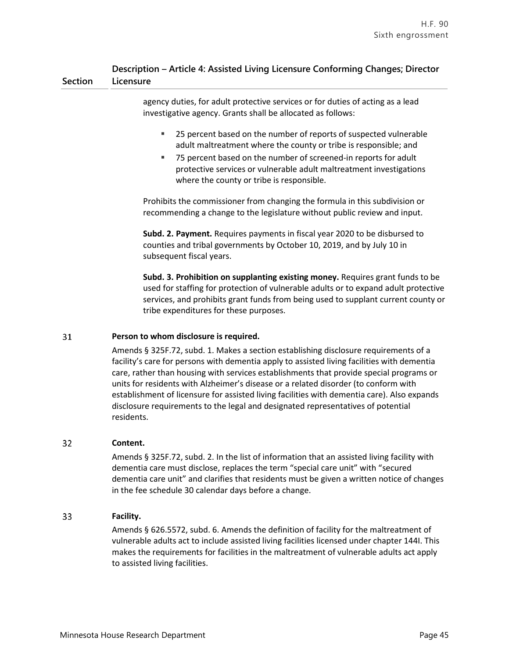agency duties, for adult protective services or for duties of acting as a lead investigative agency. Grants shall be allocated as follows:

- 25 percent based on the number of reports of suspected vulnerable adult maltreatment where the county or tribe is responsible; and
- 75 percent based on the number of screened-in reports for adult protective services or vulnerable adult maltreatment investigations where the county or tribe is responsible.

Prohibits the commissioner from changing the formula in this subdivision or recommending a change to the legislature without public review and input.

**Subd. 2. Payment.** Requires payments in fiscal year 2020 to be disbursed to counties and tribal governments by October 10, 2019, and by July 10 in subsequent fiscal years.

**Subd. 3. Prohibition on supplanting existing money.** Requires grant funds to be used for staffing for protection of vulnerable adults or to expand adult protective services, and prohibits grant funds from being used to supplant current county or tribe expenditures for these purposes.

### 31 **Person to whom disclosure is required.**

Amends § 325F.72, subd. 1. Makes a section establishing disclosure requirements of a facility's care for persons with dementia apply to assisted living facilities with dementia care, rather than housing with services establishments that provide special programs or units for residents with Alzheimer's disease or a related disorder (to conform with establishment of licensure for assisted living facilities with dementia care). Also expands disclosure requirements to the legal and designated representatives of potential residents.

### 32 **Content.**

Amends § 325F.72, subd. 2. In the list of information that an assisted living facility with dementia care must disclose, replaces the term "special care unit" with "secured dementia care unit" and clarifies that residents must be given a written notice of changes in the fee schedule 30 calendar days before a change.

### 33 **Facility.**

Amends § 626.5572, subd. 6. Amends the definition of facility for the maltreatment of vulnerable adults act to include assisted living facilities licensed under chapter 144I. This makes the requirements for facilities in the maltreatment of vulnerable adults act apply to assisted living facilities.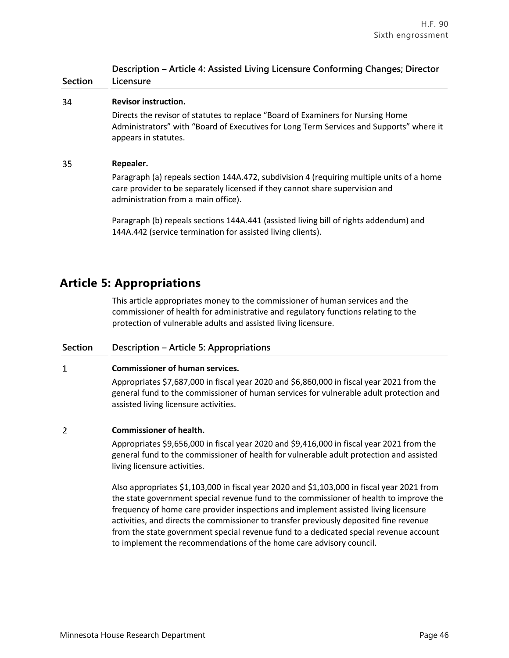|                   | Description - Article 4: Assisted Living Licensure Conforming Changes; Director |
|-------------------|---------------------------------------------------------------------------------|
| Section Licensure |                                                                                 |

#### 34 **Revisor instruction.**

Directs the revisor of statutes to replace "Board of Examiners for Nursing Home Administrators" with "Board of Executives for Long Term Services and Supports" where it appears in statutes.

#### 35 **Repealer.**

Paragraph (a) repeals section 144A.472, subdivision 4 (requiring multiple units of a home care provider to be separately licensed if they cannot share supervision and administration from a main office).

Paragraph (b) repeals sections 144A.441 (assisted living bill of rights addendum) and 144A.442 (service termination for assisted living clients).

# **Article 5: Appropriations**

This article appropriates money to the commissioner of human services and the commissioner of health for administrative and regulatory functions relating to the protection of vulnerable adults and assisted living licensure.

### **Section Description – Article 5: Appropriations**

### $\mathbf{1}$ **Commissioner of human services.**

Appropriates \$7,687,000 in fiscal year 2020 and \$6,860,000 in fiscal year 2021 from the general fund to the commissioner of human services for vulnerable adult protection and assisted living licensure activities.

### $\overline{2}$ **Commissioner of health.**

Appropriates \$9,656,000 in fiscal year 2020 and \$9,416,000 in fiscal year 2021 from the general fund to the commissioner of health for vulnerable adult protection and assisted living licensure activities.

Also appropriates \$1,103,000 in fiscal year 2020 and \$1,103,000 in fiscal year 2021 from the state government special revenue fund to the commissioner of health to improve the frequency of home care provider inspections and implement assisted living licensure activities, and directs the commissioner to transfer previously deposited fine revenue from the state government special revenue fund to a dedicated special revenue account to implement the recommendations of the home care advisory council.